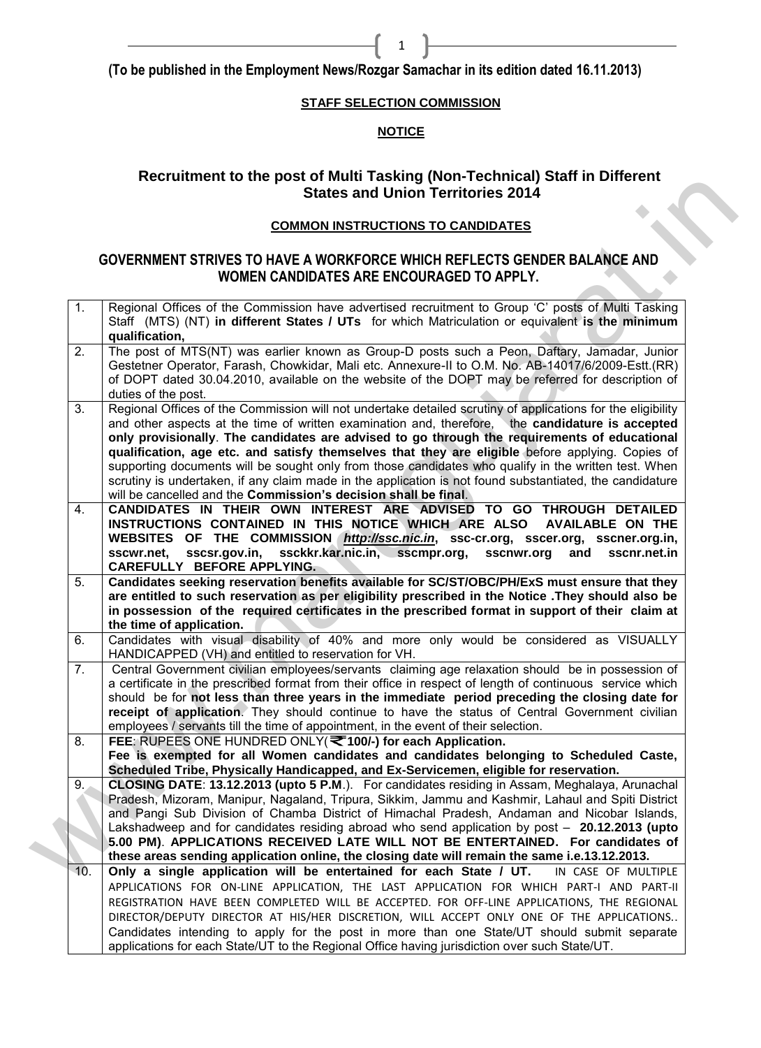**(To be published in the Employment News/Rozgar Samachar in its edition dated 16.11.2013)** 

# **STAFF SELECTION COMMISSION**

1

# **NOTICE**

# **Recruitment to the post of Multi Tasking (Non-Technical) Staff in Different States and Union Territories 2014**

# **COMMON INSTRUCTIONS TO CANDIDATES**

# **GOVERNMENT STRIVES TO HAVE A WORKFORCE WHICH REFLECTS GENDER BALANCE AND WOMEN CANDIDATES ARE ENCOURAGED TO APPLY.**

|     | <b>COMMON INSTRUCTIONS TO CANDIDATES</b>                                                                                                                                                                                                                                                                                                                                                                                                                                                                                                                                                                                                                                                                   |
|-----|------------------------------------------------------------------------------------------------------------------------------------------------------------------------------------------------------------------------------------------------------------------------------------------------------------------------------------------------------------------------------------------------------------------------------------------------------------------------------------------------------------------------------------------------------------------------------------------------------------------------------------------------------------------------------------------------------------|
|     | <b>GOVERNMENT STRIVES TO HAVE A WORKFORCE WHICH REFLECTS GENDER BALANCE AND</b><br>WOMEN CANDIDATES ARE ENCOURAGED TO APPLY.                                                                                                                                                                                                                                                                                                                                                                                                                                                                                                                                                                               |
| 1.  | Regional Offices of the Commission have advertised recruitment to Group 'C' posts of Multi Tasking<br>Staff (MTS) (NT) in different States / UTs for which Matriculation or equivalent is the minimum<br>qualification,                                                                                                                                                                                                                                                                                                                                                                                                                                                                                    |
| 2.  | The post of MTS(NT) was earlier known as Group-D posts such a Peon, Daftary, Jamadar, Junior<br>Gestetner Operator, Farash, Chowkidar, Mali etc. Annexure-II to O.M. No. AB-14017/6/2009-Estt.(RR)<br>of DOPT dated 30.04.2010, available on the website of the DOPT may be referred for description of<br>duties of the post.                                                                                                                                                                                                                                                                                                                                                                             |
| 3.  | Regional Offices of the Commission will not undertake detailed scrutiny of applications for the eligibility<br>and other aspects at the time of written examination and, therefore, the candidature is accepted<br>only provisionally. The candidates are advised to go through the requirements of educational<br>qualification, age etc. and satisfy themselves that they are eligible before applying. Copies of<br>supporting documents will be sought only from those candidates who qualify in the written test. When<br>scrutiny is undertaken, if any claim made in the application is not found substantiated, the candidature<br>will be cancelled and the Commission's decision shall be final. |
| 4.  | CANDIDATES IN THEIR OWN INTEREST ARE ADVISED TO GO THROUGH DETAILED<br>INSTRUCTIONS CONTAINED IN THIS NOTICE WHICH ARE ALSO<br><b>AVAILABLE ON THE</b><br>WEBSITES OF THE COMMISSION <i>http://ssc.nic.in</i> , ssc-cr.org, sscer.org, sscner.org.in,<br>sscsr.gov.in, ssckkr.kar.nic.in, sscmpr.org, sscnwr.org<br>and<br>sscnr.net.in<br>sscwr.net,<br>CAREFULLY BEFORE APPLYING.                                                                                                                                                                                                                                                                                                                        |
| 5.  | Candidates seeking reservation benefits available for SC/ST/OBC/PH/ExS must ensure that they<br>are entitled to such reservation as per eligibility prescribed in the Notice .They should also be<br>in possession of the required certificates in the prescribed format in support of their claim at<br>the time of application.                                                                                                                                                                                                                                                                                                                                                                          |
| 6.  | Candidates with visual disability of 40% and more only would be considered as VISUALLY<br>HANDICAPPED (VH) and entitled to reservation for VH.                                                                                                                                                                                                                                                                                                                                                                                                                                                                                                                                                             |
| 7.  | Central Government civilian employees/servants claiming age relaxation should be in possession of<br>a certificate in the prescribed format from their office in respect of length of continuous service which<br>should be for not less than three years in the immediate period preceding the closing date for<br>receipt of application. They should continue to have the status of Central Government civilian<br>employees / servants till the time of appointment, in the event of their selection.                                                                                                                                                                                                  |
| 8.  | FEE: RUPEES ONE HUNDRED ONLY(₹100/-) for each Application.<br>Fee is exempted for all Women candidates and candidates belonging to Scheduled Caste,<br>Scheduled Tribe, Physically Handicapped, and Ex-Servicemen, eligible for reservation.                                                                                                                                                                                                                                                                                                                                                                                                                                                               |
| 9.  | CLOSING DATE: 13.12.2013 (upto 5 P.M.). For candidates residing in Assam, Meghalaya, Arunachal<br>Pradesh, Mizoram, Manipur, Nagaland, Tripura, Sikkim, Jammu and Kashmir, Lahaul and Spiti District<br>and Pangi Sub Division of Chamba District of Himachal Pradesh, Andaman and Nicobar Islands,<br>Lakshadweep and for candidates residing abroad who send application by post - 20.12.2013 (upto<br>5.00 PM). APPLICATIONS RECEIVED LATE WILL NOT BE ENTERTAINED. For candidates of                                                                                                                                                                                                                   |
| 10. | these areas sending application online, the closing date will remain the same i.e.13.12.2013.<br>Only a single application will be entertained for each State / UT.<br>IN CASE OF MULTIPLE<br>APPLICATIONS FOR ON-LINE APPLICATION, THE LAST APPLICATION FOR WHICH PART-I AND PART-II<br>REGISTRATION HAVE BEEN COMPLETED WILL BE ACCEPTED. FOR OFF-LINE APPLICATIONS, THE REGIONAL<br>DIRECTOR/DEPUTY DIRECTOR AT HIS/HER DISCRETION, WILL ACCEPT ONLY ONE OF THE APPLICATIONS<br>Candidates intending to apply for the post in more than one State/UT should submit separate                                                                                                                             |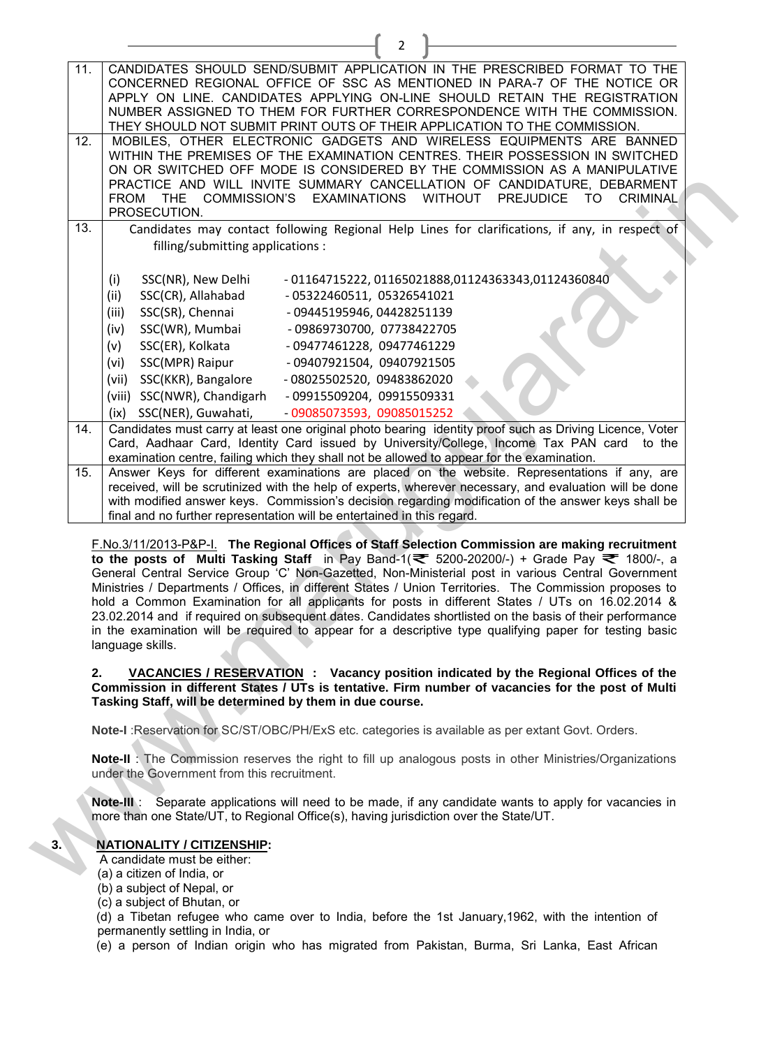| 11. | CANDIDATES SHOULD SEND/SUBMIT APPLICATION IN THE PRESCRIBED FORMAT TO THE                                                                                                                             |
|-----|-------------------------------------------------------------------------------------------------------------------------------------------------------------------------------------------------------|
|     | CONCERNED REGIONAL OFFICE OF SSC AS MENTIONED IN PARA-7 OF THE NOTICE OR                                                                                                                              |
|     | APPLY ON LINE. CANDIDATES APPLYING ON-LINE SHOULD RETAIN THE REGISTRATION                                                                                                                             |
|     | NUMBER ASSIGNED TO THEM FOR FURTHER CORRESPONDENCE WITH THE COMMISSION.                                                                                                                               |
|     | THEY SHOULD NOT SUBMIT PRINT OUTS OF THEIR APPLICATION TO THE COMMISSION.                                                                                                                             |
| 12. | MOBILES, OTHER ELECTRONIC GADGETS AND WIRELESS EQUIPMENTS ARE BANNED                                                                                                                                  |
|     | WITHIN THE PREMISES OF THE EXAMINATION CENTRES. THEIR POSSESSION IN SWITCHED                                                                                                                          |
|     | ON OR SWITCHED OFF MODE IS CONSIDERED BY THE COMMISSION AS A MANIPULATIVE<br>PRACTICE AND WILL INVITE SUMMARY CANCELLATION OF CANDIDATURE, DEBARMENT                                                  |
|     | FROM THE COMMISSION'S EXAMINATIONS WITHOUT PREJUDICE<br>TO.<br><b>CRIMINAL</b>                                                                                                                        |
|     | PROSECUTION.                                                                                                                                                                                          |
| 13. | Candidates may contact following Regional Help Lines for clarifications, if any, in respect of                                                                                                        |
|     | filling/submitting applications :                                                                                                                                                                     |
|     |                                                                                                                                                                                                       |
|     | - 01164715222, 01165021888,01124363343,01124360840<br>SSC(NR), New Delhi<br>(i)                                                                                                                       |
|     | SSC(CR), Allahabad<br>- 05322460511, 05326541021<br>(ii)                                                                                                                                              |
|     | SSC(SR), Chennai<br>(iii)<br>- 09445195946, 04428251139                                                                                                                                               |
|     | SSC(WR), Mumbai<br>(iv)<br>- 09869730700, 07738422705                                                                                                                                                 |
|     |                                                                                                                                                                                                       |
|     | SSC(ER), Kolkata<br>- 09477461228, 09477461229<br>(v)                                                                                                                                                 |
|     | SSC(MPR) Raipur<br>(vi)<br>- 09407921504, 09407921505                                                                                                                                                 |
|     | (vii) SSC(KKR), Bangalore<br>- 08025502520, 09483862020                                                                                                                                               |
|     | (viii) SSC(NWR), Chandigarh<br>- 09915509204, 09915509331                                                                                                                                             |
|     | (ix) SSC(NER), Guwahati,<br>- 09085073593, 09085015252                                                                                                                                                |
| 14. | Candidates must carry at least one original photo bearing identity proof such as Driving Licence, Voter<br>Card, Aadhaar Card, Identity Card issued by University/College, Income Tax PAN card to the |
|     | examination centre, failing which they shall not be allowed to appear for the examination.                                                                                                            |
| 15. | Answer Keys for different examinations are placed on the website. Representations if any, are                                                                                                         |
|     | received, will be scrutinized with the help of experts, wherever necessary, and evaluation will be done                                                                                               |
|     | with modified answer keys. Commission's decision regarding modification of the answer keys shall be                                                                                                   |
|     | final and no further representation will be entertained in this regard.                                                                                                                               |
|     |                                                                                                                                                                                                       |
|     | F.No.3/11/2013-P&P-I. The Regional Offices of Staff Selection Commission are making recruitment                                                                                                       |
|     | to the posts of Multi Tasking Staff in Pay Band-1( $\approx$ 5200-20200/-) + Grade Pay $\approx$ 1800/-, a                                                                                            |
|     | General Central Service Group 'C' Non-Gazetted, Non-Ministerial post in various Central Government                                                                                                    |
|     | Ministries / Departments / Offices, in different States / Union Territories. The Commission proposes to                                                                                               |
|     | hold a Common Examination for all applicants for posts in different States / UTs on 16.02.2014 &                                                                                                      |
|     | 23.02.2014 and if required on subsequent dates. Candidates shortlisted on the basis of their performance                                                                                              |
|     | in the examination will be required to appear for a descriptive type qualifying paper for testing basic<br>language skills.                                                                           |
|     |                                                                                                                                                                                                       |
| 2.  | VACANCIES / RESERVATION : Vacancy position indicated by the Regional Offices of the                                                                                                                   |
|     | Commission in different States / UTs is tentative. Firm number of vacancies for the post of Multi                                                                                                     |
|     | Tasking Staff, will be determined by them in due course.                                                                                                                                              |
|     |                                                                                                                                                                                                       |
|     | Note-I : Reservation for SC/ST/OBC/PH/ExS etc. categories is available as per extant Govt. Orders.                                                                                                    |
|     | <b>Note-II</b> : The Commission reserves the right to fill up analogous posts in other Ministries/Organizations                                                                                       |
|     |                                                                                                                                                                                                       |
|     | under the Government from this recruitment.                                                                                                                                                           |
|     |                                                                                                                                                                                                       |
|     | Separate applications will need to be made, if any candidate wants to apply for vacancies in<br>Note-III :                                                                                            |
|     | more than one State/UT, to Regional Office(s), having jurisdiction over the State/UT.                                                                                                                 |
|     |                                                                                                                                                                                                       |
|     | <b>NATIONALITY / CITIZENSHIP:</b><br>A candidate must be either:                                                                                                                                      |
|     | (a) a citizen of India, or                                                                                                                                                                            |

 $\overline{2}$ 

#### **2. VACANCIES / RESERVATION : Vacancy position indicated by the Regional Offices of the Commission in different States / UTs is tentative. Firm number of vacancies for the post of Multi Tasking Staff, will be determined by them in due course.**

# **3. NATIONALITY / CITIZENSHIP:**

- (a) a citizen of India, or
- (b) a subject of Nepal, or
- (c) a subject of Bhutan, or

(d) a Tibetan refugee who came over to India, before the 1st January,1962, with the intention of permanently settling in India, or

(e) a person of Indian origin who has migrated from Pakistan, Burma, Sri Lanka, East African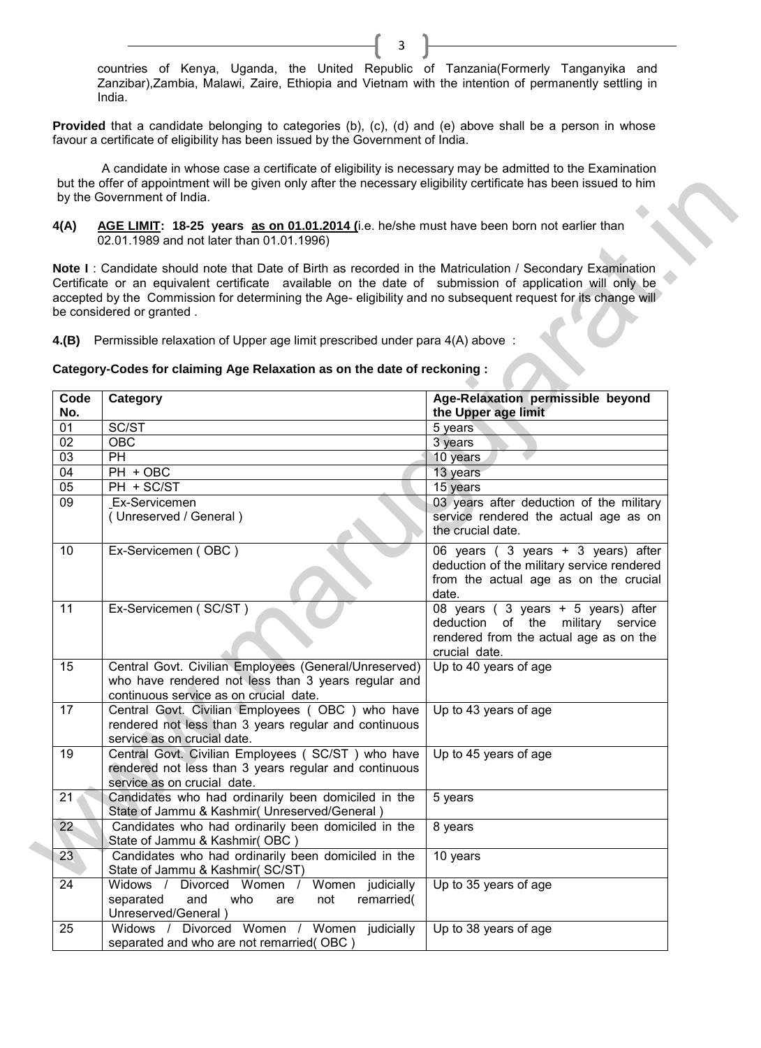countries of Kenya, Uganda, the United Republic of Tanzania(Formerly Tanganyika and Zanzibar),Zambia, Malawi, Zaire, Ethiopia and Vietnam with the intention of permanently settling in India.

3

Provided that a candidate belonging to categories (b), (c), (d) and (e) above shall be a person in whose favour a certificate of eligibility has been issued by the Government of India.

A candidate in whose case a certificate of eligibility is necessary may be admitted to the Examination but the offer of appointment will be given only after the necessary eligibility certificate has been issued to him by the Government of India.

| 4(A)            | AGE LIMIT: 18-25 years as on 01.01.2014 (i.e. he/she must have been born not earlier than<br>02.01.1989 and not later than 01.01.1996)                                                                                                                                                                                                                                                                                                                                                                                               |                                                                                                                                    |
|-----------------|--------------------------------------------------------------------------------------------------------------------------------------------------------------------------------------------------------------------------------------------------------------------------------------------------------------------------------------------------------------------------------------------------------------------------------------------------------------------------------------------------------------------------------------|------------------------------------------------------------------------------------------------------------------------------------|
|                 | Note I: Candidate should note that Date of Birth as recorded in the Matriculation / Secondary Examination<br>Certificate or an equivalent certificate available on the date of submission of application will only be<br>accepted by the Commission for determining the Age- eligibility and no subsequent request for its change will<br>be considered or granted.<br>4.(B) Permissible relaxation of Upper age limit prescribed under para 4(A) above:<br>Category-Codes for claiming Age Relaxation as on the date of reckoning : |                                                                                                                                    |
| Code            | Category                                                                                                                                                                                                                                                                                                                                                                                                                                                                                                                             | Age-Relaxation permissible beyond                                                                                                  |
| No.             |                                                                                                                                                                                                                                                                                                                                                                                                                                                                                                                                      | the Upper age limit                                                                                                                |
| 01              | SC/ST                                                                                                                                                                                                                                                                                                                                                                                                                                                                                                                                | 5 years                                                                                                                            |
| 02              | <b>OBC</b>                                                                                                                                                                                                                                                                                                                                                                                                                                                                                                                           | 3 years                                                                                                                            |
| 03              | <b>PH</b>                                                                                                                                                                                                                                                                                                                                                                                                                                                                                                                            | 10 years                                                                                                                           |
| 04              | PH + OBC                                                                                                                                                                                                                                                                                                                                                                                                                                                                                                                             | 13 years                                                                                                                           |
| 05              | PH + SC/ST                                                                                                                                                                                                                                                                                                                                                                                                                                                                                                                           | 15 years                                                                                                                           |
| 09              | Ex-Servicemen<br>(Unreserved / General)                                                                                                                                                                                                                                                                                                                                                                                                                                                                                              | 03 years after deduction of the military<br>service rendered the actual age as on<br>the crucial date.                             |
| 10 <sup>°</sup> | Ex-Servicemen (OBC)                                                                                                                                                                                                                                                                                                                                                                                                                                                                                                                  | 06 years (3 years + 3 years) after<br>deduction of the military service rendered<br>from the actual age as on the crucial<br>date. |
| 11              | Ex-Servicemen (SC/ST)                                                                                                                                                                                                                                                                                                                                                                                                                                                                                                                | 08 years (3 years + 5 years) after<br>deduction of the military service<br>rendered from the actual age as on the<br>crucial date. |
| 15              | Central Govt. Civilian Employees (General/Unreserved)<br>who have rendered not less than 3 years regular and<br>continuous service as on crucial date.                                                                                                                                                                                                                                                                                                                                                                               | Up to 40 years of age                                                                                                              |
| 17              | Central Govt. Civilian Employees (OBC) who have<br>rendered not less than 3 years regular and continuous<br>service as on crucial date.                                                                                                                                                                                                                                                                                                                                                                                              | Up to 43 years of age                                                                                                              |
| 19              | Central Govt. Civilian Employees (SC/ST) who have<br>rendered not less than 3 years regular and continuous<br>service as on crucial date.                                                                                                                                                                                                                                                                                                                                                                                            | Up to 45 years of age                                                                                                              |
| 21              | Candidates who had ordinarily been domiciled in the<br>State of Jammu & Kashmir (Unreserved/General)                                                                                                                                                                                                                                                                                                                                                                                                                                 | 5 years                                                                                                                            |
| $22^{\circ}$    | Candidates who had ordinarily been domiciled in the<br>State of Jammu & Kashmir(OBC)                                                                                                                                                                                                                                                                                                                                                                                                                                                 | 8 years                                                                                                                            |
| 23              | Candidates who had ordinarily been domiciled in the<br>State of Jammu & Kashmir(SC/ST)                                                                                                                                                                                                                                                                                                                                                                                                                                               | 10 years                                                                                                                           |
| 24              | Women judicially<br>Widows /<br>Divorced Women /<br>separated<br>and<br>who<br>not<br>remarried(<br>are<br>Unreserved/General)                                                                                                                                                                                                                                                                                                                                                                                                       | Up to 35 years of age                                                                                                              |
| 25              | Widows / Divorced Women / Women judicially<br>separated and who are not remarried (OBC)                                                                                                                                                                                                                                                                                                                                                                                                                                              | Up to 38 years of age                                                                                                              |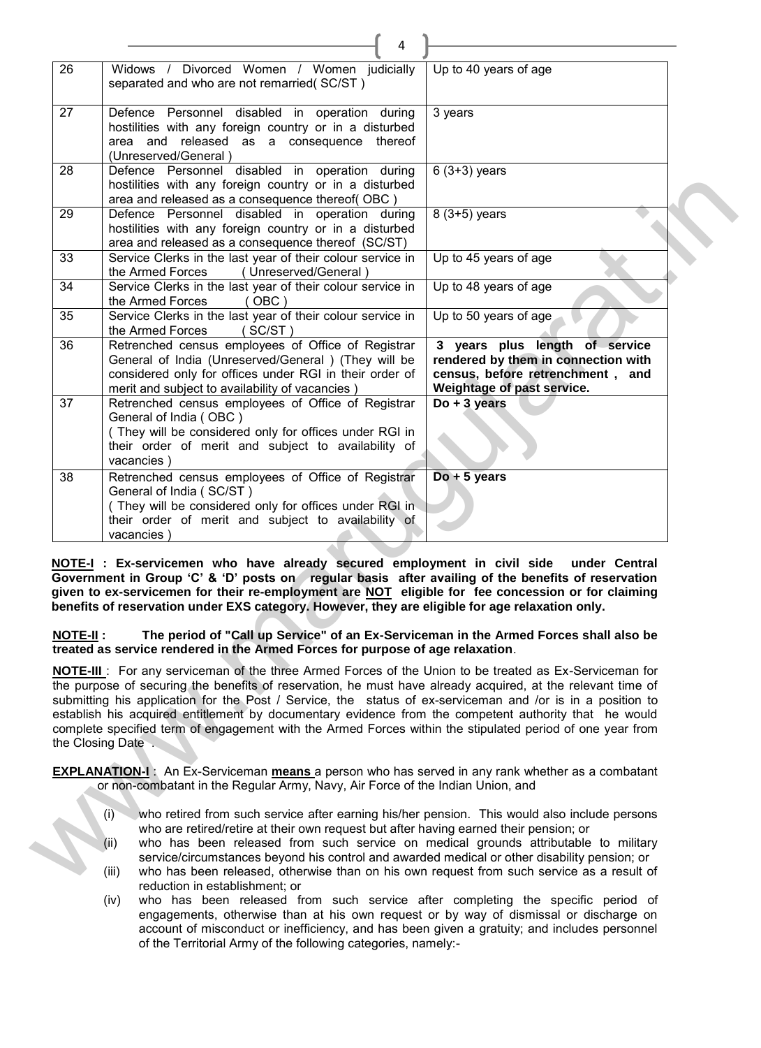|                 | 4                                                                                                                                                                                                                                                                                                                                                                                                                                                                                                                                                                                                                                                                                                                                                                                                                                                                                                                                                                                                                                                                                                                                                                        |                                                                                                                                         |
|-----------------|--------------------------------------------------------------------------------------------------------------------------------------------------------------------------------------------------------------------------------------------------------------------------------------------------------------------------------------------------------------------------------------------------------------------------------------------------------------------------------------------------------------------------------------------------------------------------------------------------------------------------------------------------------------------------------------------------------------------------------------------------------------------------------------------------------------------------------------------------------------------------------------------------------------------------------------------------------------------------------------------------------------------------------------------------------------------------------------------------------------------------------------------------------------------------|-----------------------------------------------------------------------------------------------------------------------------------------|
| 26              | Widows / Divorced Women / Women judicially<br>separated and who are not remarried(SC/ST)                                                                                                                                                                                                                                                                                                                                                                                                                                                                                                                                                                                                                                                                                                                                                                                                                                                                                                                                                                                                                                                                                 | Up to 40 years of age                                                                                                                   |
| 27              | Defence Personnel disabled in operation during<br>hostilities with any foreign country or in a disturbed<br>area and released as a consequence thereof<br>(Unreserved/General)                                                                                                                                                                                                                                                                                                                                                                                                                                                                                                                                                                                                                                                                                                                                                                                                                                                                                                                                                                                           | 3 years                                                                                                                                 |
| 28              | Defence Personnel disabled in operation during<br>hostilities with any foreign country or in a disturbed<br>area and released as a consequence thereof(OBC)                                                                                                                                                                                                                                                                                                                                                                                                                                                                                                                                                                                                                                                                                                                                                                                                                                                                                                                                                                                                              | $6(3+3)$ years                                                                                                                          |
| 29              | Defence Personnel disabled in operation during<br>hostilities with any foreign country or in a disturbed<br>area and released as a consequence thereof (SC/ST)                                                                                                                                                                                                                                                                                                                                                                                                                                                                                                                                                                                                                                                                                                                                                                                                                                                                                                                                                                                                           | 8 (3+5) years                                                                                                                           |
| 33              | Service Clerks in the last year of their colour service in<br>the Armed Forces<br>(Unreserved/General)                                                                                                                                                                                                                                                                                                                                                                                                                                                                                                                                                                                                                                                                                                                                                                                                                                                                                                                                                                                                                                                                   | Up to 45 years of age                                                                                                                   |
| 34              | Service Clerks in the last year of their colour service in<br>$($ OBC $)$<br>the Armed Forces                                                                                                                                                                                                                                                                                                                                                                                                                                                                                                                                                                                                                                                                                                                                                                                                                                                                                                                                                                                                                                                                            | Up to 48 years of age                                                                                                                   |
| 35              | Service Clerks in the last year of their colour service in<br>the Armed Forces<br>(SC/ST)                                                                                                                                                                                                                                                                                                                                                                                                                                                                                                                                                                                                                                                                                                                                                                                                                                                                                                                                                                                                                                                                                | Up to 50 years of age                                                                                                                   |
| 36              | Retrenched census employees of Office of Registrar<br>General of India (Unreserved/General ) (They will be<br>considered only for offices under RGI in their order of<br>merit and subject to availability of vacancies)                                                                                                                                                                                                                                                                                                                                                                                                                                                                                                                                                                                                                                                                                                                                                                                                                                                                                                                                                 | 3 years plus length of service<br>rendered by them in connection with<br>census, before retrenchment, and<br>Weightage of past service. |
| 37              | Retrenched census employees of Office of Registrar<br>General of India (OBC)<br>(They will be considered only for offices under RGI in<br>their order of merit and subject to availability of<br>vacancies)                                                                                                                                                                                                                                                                                                                                                                                                                                                                                                                                                                                                                                                                                                                                                                                                                                                                                                                                                              | $Do + 3 years$                                                                                                                          |
| 38              | Retrenched census employees of Office of Registrar<br>General of India (SC/ST)<br>(They will be considered only for offices under RGI in<br>their order of merit and subject to availability of<br>vacancies)                                                                                                                                                                                                                                                                                                                                                                                                                                                                                                                                                                                                                                                                                                                                                                                                                                                                                                                                                            | $Do + 5$ years                                                                                                                          |
| <b>NOTE-II:</b> | NOTE-I: Ex-servicemen who have already secured employment in civil side under Central<br>Government in Group 'C' & 'D' posts on regular basis after availing of the benefits of reservation<br>given to ex-servicemen for their re-employment are NOT eligible for fee concession or for claiming<br>benefits of reservation under EXS category. However, they are eligible for age relaxation only.<br>The period of "Call up Service" of an Ex-Serviceman in the Armed Forces shall also be<br>treated as service rendered in the Armed Forces for purpose of age relaxation.<br><b>NOTE-III</b> : For any serviceman of the three Armed Forces of the Union to be treated as Ex-Serviceman for<br>the purpose of securing the benefits of reservation, he must have already acquired, at the relevant time of<br>submitting his application for the Post / Service, the status of ex-serviceman and /or is in a position to<br>establish his acquired entitlement by documentary evidence from the competent authority that he would<br>complete specified term of engagement with the Armed Forces within the stipulated period of one year from<br>the Closing Date |                                                                                                                                         |
|                 | <b>EXPLANATION-I</b> : An Ex-Serviceman means a person who has served in any rank whether as a combatant<br>or non-combatant in the Regular Army, Navy, Air Force of the Indian Union, and                                                                                                                                                                                                                                                                                                                                                                                                                                                                                                                                                                                                                                                                                                                                                                                                                                                                                                                                                                               |                                                                                                                                         |
|                 | who retired from such service after earning his/her pension. This would also include persons<br>(i)<br>who are retired/retire at their own request but after having earned their pension; or                                                                                                                                                                                                                                                                                                                                                                                                                                                                                                                                                                                                                                                                                                                                                                                                                                                                                                                                                                             |                                                                                                                                         |

- (i) who retired from such service after earning his/her pension. This would also include persons who are retired/retire at their own request but after having earned their pension; or
- who has been released from such service on medical grounds attributable to military service/circumstances beyond his control and awarded medical or other disability pension; or
- (iii) who has been released, otherwise than on his own request from such service as a result of reduction in establishment; or
- (iv) who has been released from such service after completing the specific period of engagements, otherwise than at his own request or by way of dismissal or discharge on account of misconduct or inefficiency, and has been given a gratuity; and includes personnel of the Territorial Army of the following categories, namely:-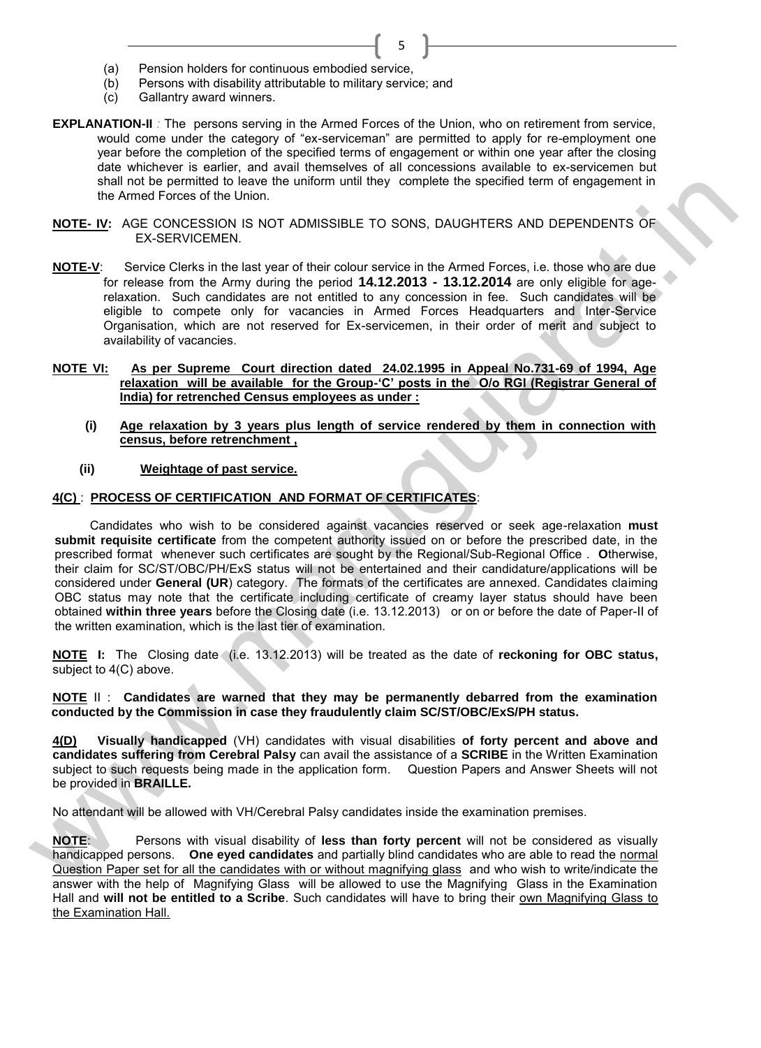- (a) Pension holders for continuous embodied service,
- (b) Persons with disability attributable to military service; and
- (c) Gallantry award winners.
- **EXPLANATION-II** *:* The persons serving in the Armed Forces of the Union, who on retirement from service, would come under the category of "ex-serviceman" are permitted to apply for re-employment one year before the completion of the specified terms of engagement or within one year after the closing date whichever is earlier, and avail themselves of all concessions available to ex-servicemen but shall not be permitted to leave the uniform until they complete the specified term of engagement in the Armed Forces of the Union.

5

- **NOTE- IV:** AGE CONCESSION IS NOT ADMISSIBLE TO SONS, DAUGHTERS AND DEPENDENTS OF EX-SERVICEMEN.
- **NOTE-V**: Service Clerks in the last year of their colour service in the Armed Forces, i.e. those who are due for release from the Army during the period **14.12.2013 - 13.12.2014** are only eligible for agerelaxation. Such candidates are not entitled to any concession in fee. Such candidates will be eligible to compete only for vacancies in Armed Forces Headquarters and Inter-Service Organisation, which are not reserved for Ex-servicemen, in their order of merit and subject to availability of vacancies.
- **NOTE VI: As per Supreme Court direction dated 24.02.1995 in Appeal No.731-69 of 1994, Age relaxation will be available for the Group-'C' posts in the O/o RGI (Registrar General of India) for retrenched Census employees as under :**
	- **(i) Age relaxation by 3 years plus length of service rendered by them in connection with census, before retrenchment ,**
	- **(ii) Weightage of past service.**

# **4(C)** : **PROCESS OF CERTIFICATION AND FORMAT OF CERTIFICATES**:

Candidates who wish to be considered against vacancies reserved or seek age-relaxation **must submit requisite certificate** from the competent authority issued on or before the prescribed date, in the prescribed format whenever such certificates are sought by the Regional/Sub-Regional Office . **O**therwise, their claim for SC/ST/OBC/PH/ExS status will not be entertained and their candidature/applications will be considered under **General (UR**) category. The formats of the certificates are annexed. Candidates claiming OBC status may note that the certificate including certificate of creamy layer status should have been obtained **within three years** before the Closing date (i.e. 13.12.2013) or on or before the date of Paper-II of the written examination, which is the last tier of examination. shall of the primited in the uniform until they complete the specified term of engagement in<br>the Armifed France of the Union.<br>
WOTE: W. S.C.E.CONCESSION IS NOT ADMISSIME. TO SONS, DAUGHTERS AND DEFIENDENTS OF<br>
SASENVICENE

**NOTE I:** The Closing date (i.e. 13.12.2013) will be treated as the date of **reckoning for OBC status,**  subject to 4(C) above.

#### **NOTE** II : **Candidates are warned that they may be permanently debarred from the examination conducted by the Commission in case they fraudulently claim SC/ST/OBC/ExS/PH status.**

**4(D) Visually handicapped** (VH) candidates with visual disabilities **of forty percent and above and candidates suffering from Cerebral Palsy** can avail the assistance of a **SCRIBE** in the Written Examination subject to such requests being made in the application form. Question Papers and Answer Sheets will not be provided in **BRAILLE.**

No attendant will be allowed with VH/Cerebral Palsy candidates inside the examination premises.

**NOTE**: Persons with visual disability of **less than forty percent** will not be considered as visually handicapped persons. **One eyed candidates** and partially blind candidates who are able to read the normal Question Paper set for all the candidates with or without magnifying glass and who wish to write/indicate the answer with the help of Magnifying Glass will be allowed to use the Magnifying Glass in the Examination Hall and **will not be entitled to a Scribe**. Such candidates will have to bring their own Magnifying Glass to the Examination Hall.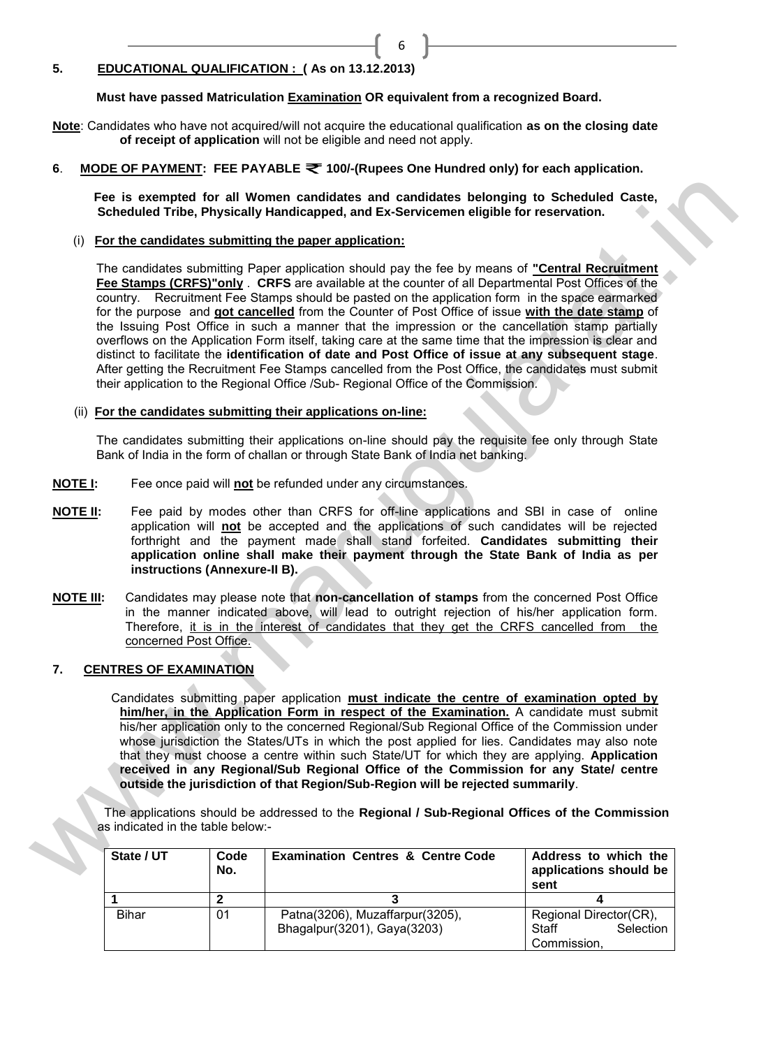#### **5. EDUCATIONAL QUALIFICATION : ( As on 13.12.2013)**

**Must have passed Matriculation Examination OR equivalent from a recognized Board.**

**Note**: Candidates who have not acquired/will not acquire the educational qualification **as on the closing date of receipt of application** will not be eligible and need not apply.

**6. MODE OF PAYMENT: FEE PAYABLE ₹ 100/-(Rupees One Hundred only) for each application.** 

 **Fee is exempted for all Women candidates and candidates belonging to Scheduled Caste, Scheduled Tribe, Physically Handicapped, and Ex-Servicemen eligible for reservation.**

6

(i) **For the candidates submitting the paper application:**

The candidates submitting Paper application should pay the fee by means of **"Central Recruitment Fee Stamps (CRFS)"only** . **CRFS** are available at the counter of all Departmental Post Offices of the country. Recruitment Fee Stamps should be pasted on the application form in the space earmarked for the purpose and **got cancelled** from the Counter of Post Office of issue **with the date stamp** of the Issuing Post Office in such a manner that the impression or the cancellation stamp partially overflows on the Application Form itself, taking care at the same time that the impression is clear and distinct to facilitate the **identification of date and Post Office of issue at any subsequent stage**. After getting the Recruitment Fee Stamps cancelled from the Post Office, the candidates must submit their application to the Regional Office /Sub- Regional Office of the Commission. Fear is exampted for all Women candidates and candidates belonging to Scheduled Caste,<br>
Scheduled Trate, Physical Venetac, and Ex-Scheduled Caste,<br>
(i) <u>For the annidelates submitting the paper application</u><br>
The candidate

(ii) **For the candidates submitting their applications on-line:**

The candidates submitting their applications on-line should pay the requisite fee only through State Bank of India in the form of challan or through State Bank of India net banking.

- **NOTE I:** Fee once paid will **not** be refunded under any circumstances.
- **NOTE II:** Fee paid by modes other than CRFS for off-line applications and SBI in case of online application will **not** be accepted and the applications of such candidates will be rejected forthright and the payment made shall stand forfeited. **Candidates submitting their application online shall make their payment through the State Bank of India as per instructions (Annexure-II B).**
- **NOTE III:** Candidates may please note that **non-cancellation of stamps** from the concerned Post Office in the manner indicated above, will lead to outright rejection of his/her application form. Therefore, it is in the interest of candidates that they get the CRFS cancelled from the concerned Post Office.

#### **7. CENTRES OF EXAMINATION**

 Candidates submitting paper application **must indicate the centre of examination opted by him/her, in the Application Form in respect of the Examination.** A candidate must submit his/her application only to the concerned Regional/Sub Regional Office of the Commission under whose jurisdiction the States/UTs in which the post applied for lies. Candidates may also note that they must choose a centre within such State/UT for which they are applying. **Application received in any Regional/Sub Regional Office of the Commission for any State/ centre outside the jurisdiction of that Region/Sub-Region will be rejected summarily**.

 The applications should be addressed to the **Regional / Sub-Regional Offices of the Commission** as indicated in the table below:-

| State / UT | Code<br>No. | <b>Examination Centres &amp; Centre Code</b> | Address to which the<br>applications should be<br>sent |
|------------|-------------|----------------------------------------------|--------------------------------------------------------|
|            |             |                                              |                                                        |
| Bihar      | 01          | Patna(3206), Muzaffarpur(3205),              | Regional Director(CR),                                 |
|            |             | Bhagalpur(3201), Gaya(3203)                  | Selection<br>Staff                                     |
|            |             |                                              | Commission,                                            |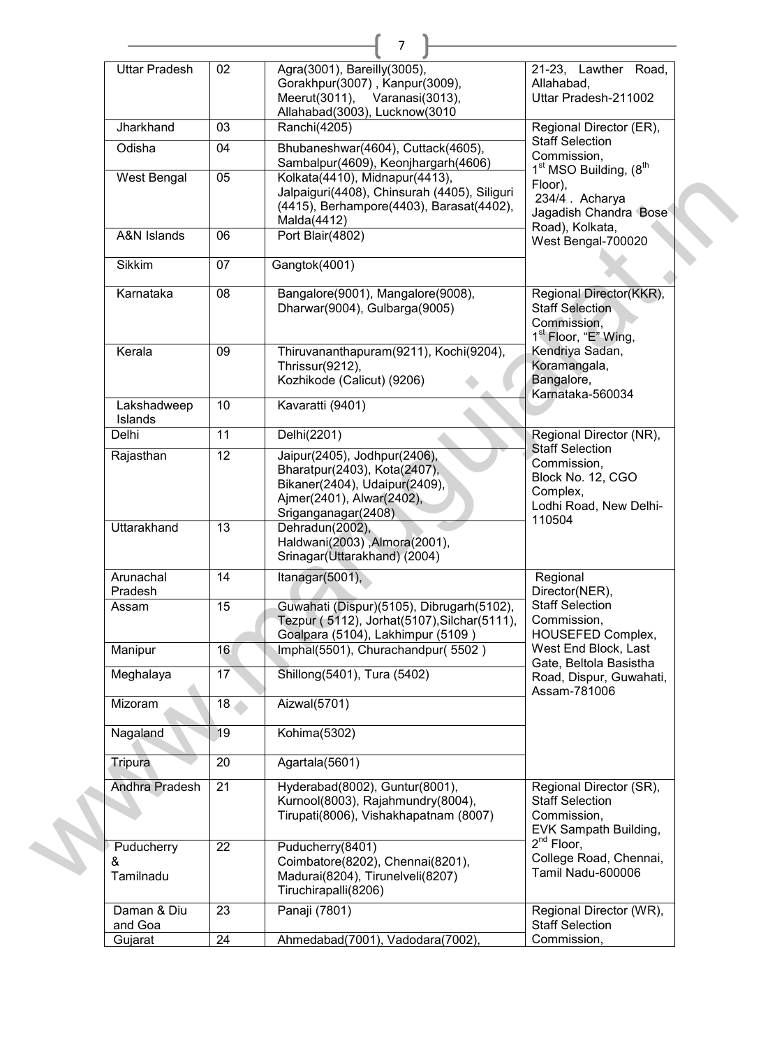| <b>Uttar Pradesh</b>         | 02              | Agra(3001), Bareilly(3005),                                                                                                                       | 21-23, Lawther<br>Road,                                                                                    |
|------------------------------|-----------------|---------------------------------------------------------------------------------------------------------------------------------------------------|------------------------------------------------------------------------------------------------------------|
|                              |                 | Gorakhpur(3007), Kanpur(3009),<br>Meerut(3011),<br>Varanasi(3013),                                                                                | Allahabad,<br>Uttar Pradesh-211002                                                                         |
| Jharkhand                    | 03              | Allahabad(3003), Lucknow(3010<br>Ranchi(4205)                                                                                                     | Regional Director (ER),                                                                                    |
| Odisha                       | 04              | Bhubaneshwar(4604), Cuttack(4605),<br>Sambalpur(4609), Keonjhargarh(4606)                                                                         | <b>Staff Selection</b><br>Commission,                                                                      |
| West Bengal                  | 05              | Kolkata(4410), Midnapur(4413),<br>Jalpaiguri(4408), Chinsurah (4405), Siliguri<br>(4415), Berhampore(4403), Barasat(4402),<br>Malda(4412)         | 1 <sup>st</sup> MSO Building, (8 <sup>th</sup><br>Floor),<br>234/4. Acharya<br>Jagadish Chandra Bose       |
| A&N Islands                  | 06              | Port Blair(4802)                                                                                                                                  | Road), Kolkata,<br>West Bengal-700020                                                                      |
| Sikkim                       | 07              | Gangtok(4001)                                                                                                                                     |                                                                                                            |
| Karnataka                    | 08              | Bangalore(9001), Mangalore(9008),<br>Dharwar(9004), Gulbarga(9005)                                                                                | Regional Director(KKR),<br><b>Staff Selection</b><br>Commission,<br>1 <sup>st</sup> Floor, "E" Wing,       |
| Kerala                       | 09              | Thiruvananthapuram(9211), Kochi(9204),<br>Thrissur(9212),<br>Kozhikode (Calicut) (9206)                                                           | Kendriya Sadan,<br>Koramangala,<br>Bangalore,<br>Karnataka-560034                                          |
| Lakshadweep<br>Islands       | 10              | Kavaratti (9401)                                                                                                                                  |                                                                                                            |
| Delhi                        | 11              | Delhi(2201)                                                                                                                                       | Regional Director (NR),                                                                                    |
| Rajasthan                    | 12              | Jaipur(2405), Jodhpur(2406),<br>Bharatpur(2403), Kota(2407),<br>Bikaner(2404), Udaipur(2409),<br>Ajmer(2401), Alwar(2402),<br>Sriganganagar(2408) | <b>Staff Selection</b><br>Commission,<br>Block No. 12, CGO<br>Complex,<br>Lodhi Road, New Delhi-<br>110504 |
| Uttarakhand                  | 13              | Dehradun(2002),<br>Haldwani(2003), Almora(2001),<br>Srinagar(Uttarakhand) (2004)                                                                  |                                                                                                            |
| Arunachal<br>Pradesh         | 14              | Itanagar(5001),                                                                                                                                   | Regional<br>Director(NER),                                                                                 |
| Assam                        | 15              | Guwahati (Dispur)(5105), Dibrugarh(5102),<br>Tezpur (5112), Jorhat(5107), Silchar(5111),<br>Goalpara (5104), Lakhimpur (5109)                     | <b>Staff Selection</b><br>Commission,<br>HOUSEFED Complex,                                                 |
| Manipur                      | 16              | Imphal(5501), Churachandpur(5502)                                                                                                                 | West End Block, Last<br>Gate, Beltola Basistha                                                             |
| Meghalaya                    | 17              | Shillong(5401), Tura (5402)                                                                                                                       | Road, Dispur, Guwahati,<br>Assam-781006                                                                    |
| Mizoram                      | 18 <sub>1</sub> | Aizwal(5701)                                                                                                                                      |                                                                                                            |
| Nagaland                     | 19              | Kohima(5302)                                                                                                                                      |                                                                                                            |
| Tripura                      | 20              | Agartala(5601)                                                                                                                                    |                                                                                                            |
| Andhra Pradesh               | 21              | Hyderabad(8002), Guntur(8001),<br>Kurnool(8003), Rajahmundry(8004),<br>Tirupati(8006), Vishakhapatnam (8007)                                      | Regional Director (SR),<br><b>Staff Selection</b><br>Commission,<br>EVK Sampath Building,                  |
| Puducherry<br>&<br>Tamilnadu | 22              | Puducherry(8401)<br>Coimbatore(8202), Chennai(8201),<br>Madurai(8204), Tirunelveli(8207)<br>Tiruchirapalli(8206)                                  | $2^{nd}$ Floor,<br>College Road, Chennai,<br>Tamil Nadu-600006                                             |
| Daman & Diu<br>and Goa       | 23              | Panaji (7801)                                                                                                                                     | Regional Director (WR),<br><b>Staff Selection</b>                                                          |
| Gujarat                      | 24              | Ahmedabad(7001), Vadodara(7002),                                                                                                                  | Commission,                                                                                                |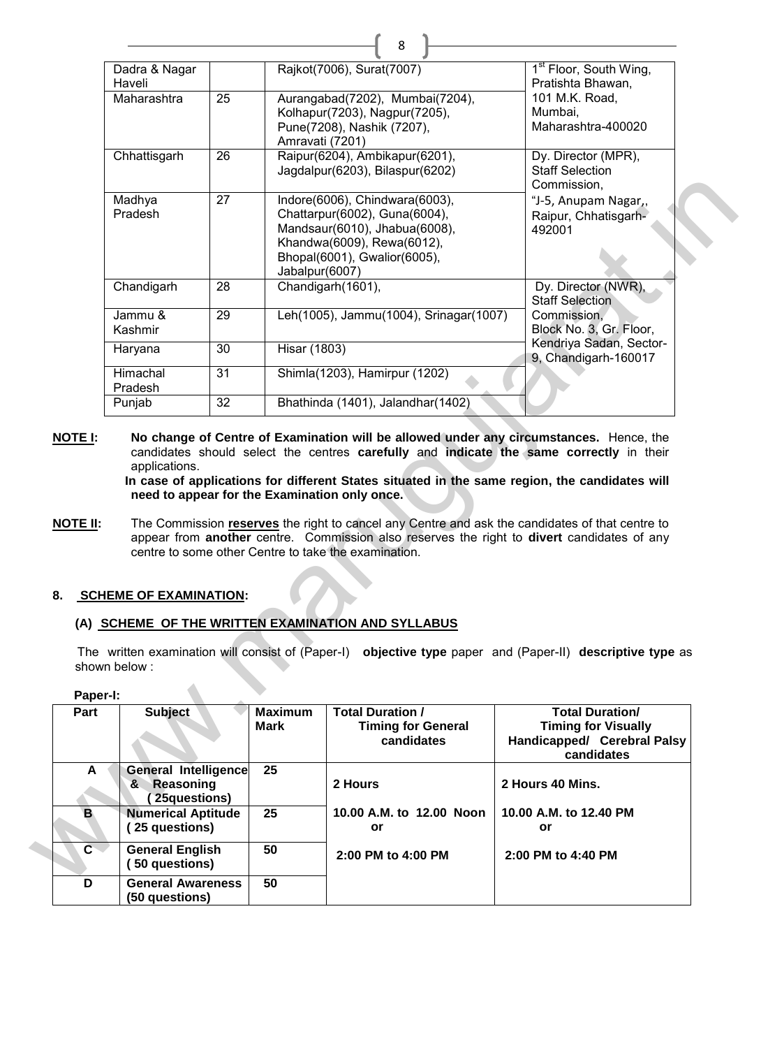|                                              | Dadra & Nagar<br>Haveli                                        |    |                               | Rajkot(7006), Surat(7007)                                                                                                                                          | 1 <sup>st</sup> Floor, South Wing,<br>Pratishta Bhawan,                                                                                                                                                                                                                                                                                                            |
|----------------------------------------------|----------------------------------------------------------------|----|-------------------------------|--------------------------------------------------------------------------------------------------------------------------------------------------------------------|--------------------------------------------------------------------------------------------------------------------------------------------------------------------------------------------------------------------------------------------------------------------------------------------------------------------------------------------------------------------|
|                                              | Maharashtra                                                    | 25 | Amravati (7201)               | Aurangabad(7202), Mumbai(7204),<br>Kolhapur(7203), Nagpur(7205),<br>Pune(7208), Nashik (7207),                                                                     | 101 M.K. Road,<br>Mumbai,<br>Maharashtra-400020                                                                                                                                                                                                                                                                                                                    |
|                                              | Chhattisgarh                                                   | 26 |                               | Raipur(6204), Ambikapur(6201),<br>Jagdalpur(6203), Bilaspur(6202)                                                                                                  | Dy. Director (MPR),<br><b>Staff Selection</b><br>Commission,                                                                                                                                                                                                                                                                                                       |
|                                              | Madhya<br>Pradesh                                              | 27 | Jabalpur(6007)                | Indore(6006), Chindwara(6003),<br>Chattarpur(6002), Guna(6004),<br>Mandsaur(6010), Jhabua(6008),<br>Khandwa(6009), Rewa(6012),<br>Bhopal(6001), Gwalior(6005),     | "J-5, Anupam Nagar,,<br>Raipur, Chhatisgarh-<br>492001                                                                                                                                                                                                                                                                                                             |
|                                              | Chandigarh                                                     | 28 |                               | Chandigarh(1601),                                                                                                                                                  | Dy. Director (NWR),<br><b>Staff Selection</b>                                                                                                                                                                                                                                                                                                                      |
|                                              | Jammu &<br>Kashmir                                             | 29 |                               | Leh(1005), Jammu(1004), Srinagar(1007)                                                                                                                             | Commission,<br>Block No. 3, Gr. Floor,                                                                                                                                                                                                                                                                                                                             |
|                                              | Haryana                                                        | 30 | <b>Hisar (1803)</b>           |                                                                                                                                                                    | Kendriya Sadan, Sector-<br>9, Chandigarh-160017                                                                                                                                                                                                                                                                                                                    |
|                                              | Himachal<br>Pradesh                                            | 31 |                               | Shimla(1203), Hamirpur (1202)                                                                                                                                      |                                                                                                                                                                                                                                                                                                                                                                    |
|                                              | Punjab                                                         | 32 |                               | Bhathinda (1401), Jalandhar(1402)                                                                                                                                  |                                                                                                                                                                                                                                                                                                                                                                    |
| NOTE I:                                      | applications.<br>need to appear for the Examination only once. |    |                               |                                                                                                                                                                    | No change of Centre of Examination will be allowed under any circumstances. Hence, the<br>candidates should select the centres carefully and indicate the same correctly in their<br>In case of applications for different States situated in the same region, the candidates will                                                                                 |
| NOTE II:<br>shown below:<br>Paper-I:<br>Part | <b>SCHEME OF EXAMINATION:</b><br><b>Subject</b>                |    | <b>Maximum</b><br><b>Mark</b> | centre to some other Centre to take the examination.<br>(A) SCHEME OF THE WRITTEN EXAMINATION AND SYLLABUS<br><b>Total Duration /</b><br><b>Timing for General</b> | The Commission reserves the right to cancel any Centre and ask the candidates of that centre to<br>appear from another centre. Commission also reserves the right to divert candidates of any<br>The written examination will consist of (Paper-I) objective type paper and (Paper-II) descriptive type as<br><b>Total Duration/</b><br><b>Timing for Visually</b> |
|                                              |                                                                |    |                               | candidates                                                                                                                                                         | Handicapped/ Cerebral Palsy<br>candidates                                                                                                                                                                                                                                                                                                                          |
| A                                            | <b>General Intelligence</b><br>&<br>Reasoning<br>25questions)  |    | 25                            | 2 Hours                                                                                                                                                            | 2 Hours 40 Mins.                                                                                                                                                                                                                                                                                                                                                   |
| B                                            | <b>Numerical Aptitude</b><br>(25 questions)                    |    | 25                            | 10.00 A.M. to 12.00 Noon<br>or                                                                                                                                     | 10.00 A.M. to 12.40 PM<br>or                                                                                                                                                                                                                                                                                                                                       |
| $\overline{c}$                               | <b>General English</b><br>(50 questions)                       |    | 50                            | 2:00 PM to 4:00 PM                                                                                                                                                 | 2:00 PM to 4:40 PM                                                                                                                                                                                                                                                                                                                                                 |

 $\mathbf{r}$   $\mathbf{r}$ 

# **8. SCHEME OF EXAMINATION:**

# **(A) SCHEME OF THE WRITTEN EXAMINATION AND SYLLABUS**

| Part           | <b>Subject</b>                                                | <b>Maximum</b><br><b>Mark</b> | <b>Total Duration /</b><br><b>Timing for General</b><br>candidates | <b>Total Duration/</b><br><b>Timing for Visually</b><br>Handicapped/ Cerebral Palsy<br>candidates |
|----------------|---------------------------------------------------------------|-------------------------------|--------------------------------------------------------------------|---------------------------------------------------------------------------------------------------|
| A              | <b>General Intelligence</b><br>Reasoning<br>&<br>25questions) | 25                            | 2 Hours                                                            | 2 Hours 40 Mins.                                                                                  |
| B              | <b>Numerical Aptitude</b><br>25 questions)                    | 25                            | 10.00 A.M. to 12.00 Noon<br>or                                     | 10.00 A.M. to 12.40 PM<br>or                                                                      |
| $\mathbf{C}^-$ | <b>General English</b><br>50 questions)                       | 50                            | 2:00 PM to 4:00 PM                                                 | 2:00 PM to 4:40 PM                                                                                |
| D              | <b>General Awareness</b><br>(50 questions)                    | 50                            |                                                                    |                                                                                                   |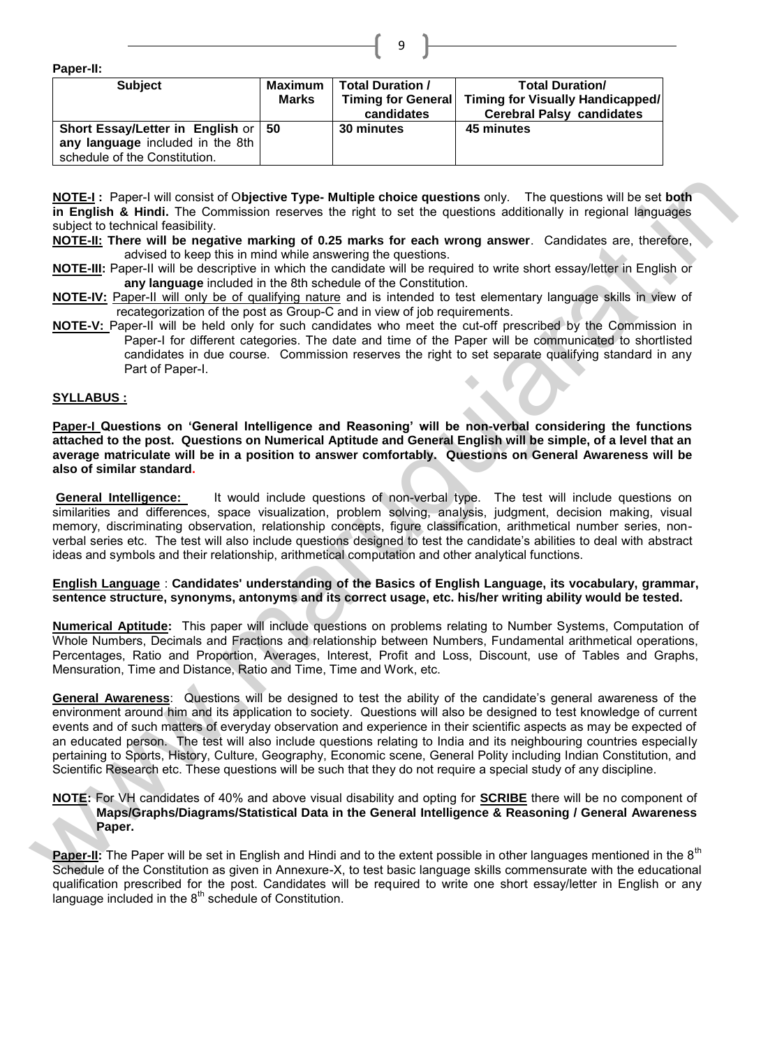**Paper-II:**

| .                                     |              |                         |                                         |
|---------------------------------------|--------------|-------------------------|-----------------------------------------|
| <b>Subject</b>                        | Maximum      | <b>Total Duration /</b> | <b>Total Duration/</b>                  |
|                                       | <b>Marks</b> | Timing for General      | <b>Timing for Visually Handicapped/</b> |
|                                       |              | candidates              | <b>Cerebral Palsy candidates</b>        |
| Short Essay/Letter in English or   50 |              | 30 minutes              | 45 minutes                              |
| any language included in the 8th      |              |                         |                                         |
| schedule of the Constitution.         |              |                         |                                         |

**NOTE-I :** Paper-I will consist of O**bjective Type- Multiple choice questions** only. The questions will be set **both in English & Hindi.** The Commission reserves the right to set the questions additionally in regional languages subject to technical feasibility.

- **NOTE-II: There will be negative marking of 0.25 marks for each wrong answer**. Candidates are, therefore, advised to keep this in mind while answering the questions.
- **NOTE-III:** Paper-II will be descriptive in which the candidate will be required to write short essay/letter in English or **any language** included in the 8th schedule of the Constitution.
- **NOTE-IV:** Paper-II will only be of qualifying nature and is intended to test elementary language skills in view of recategorization of the post as Group-C and in view of job requirements.
- **NOTE-V:** Paper-II will be held only for such candidates who meet the cut-off prescribed by the Commission in Paper-I for different categories. The date and time of the Paper will be communicated to shortlisted candidates in due course. Commission reserves the right to set separate qualifying standard in any Part of Paper-I.

#### **SYLLABUS :**

**Paper-I Questions on 'General Intelligence and Reasoning' will be non-verbal considering the functions attached to the post. Questions on Numerical Aptitude and General English will be simple, of a level that an average matriculate will be in a position to answer comfortably. Questions on General Awareness will be also of similar standard.** 

**General Intelligence:** It would include questions of non-verbal type. The test will include questions on similarities and differences, space visualization, problem solving, analysis, judgment, decision making, visual memory, discriminating observation, relationship concepts, figure classification, arithmetical number series, nonverbal series etc. The test will also include questions designed to test the candidate's abilities to deal with abstract ideas and symbols and their relationship, arithmetical computation and other analytical functions.

#### **English Language** : **Candidates' understanding of the Basics of English Language, its vocabulary, grammar, sentence structure, synonyms, antonyms and its correct usage, etc. his/her writing ability would be tested.**

**Numerical Aptitude:** This paper will include questions on problems relating to Number Systems, Computation of Whole Numbers, Decimals and Fractions and relationship between Numbers, Fundamental arithmetical operations, Percentages, Ratio and Proportion, Averages, Interest, Profit and Loss, Discount, use of Tables and Graphs, Mensuration, Time and Distance, Ratio and Time, Time and Work, etc.

**General Awareness**: Questions will be designed to test the ability of the candidate's general awareness of the environment around him and its application to society. Questions will also be designed to test knowledge of current events and of such matters of everyday observation and experience in their scientific aspects as may be expected of an educated person. The test will also include questions relating to India and its neighbouring countries especially pertaining to Sports, History, Culture, Geography, Economic scene, General Polity including Indian Constitution, and Scientific Research etc. These questions will be such that they do not require a special study of any discipline. WEIGH: Paper-I of the control of the photon Type. Multiple choice questions only. The questions will be a stop<br>the solicity and control of the photon control of the syles and control of the syles and the control of the con

#### **NOTE:** For VH candidates of 40% and above visual disability and opting for **SCRIBE** there will be no component of **Maps/Graphs/Diagrams/Statistical Data in the General Intelligence & Reasoning / General Awareness Paper.**

**Paper-II:** The Paper will be set in English and Hindi and to the extent possible in other languages mentioned in the 8<sup>th</sup> Schedule of the Constitution as given in Annexure-X, to test basic language skills commensurate with the educational qualification prescribed for the post. Candidates will be required to write one short essay/letter in English or any language included in the  $8<sup>th</sup>$  schedule of Constitution.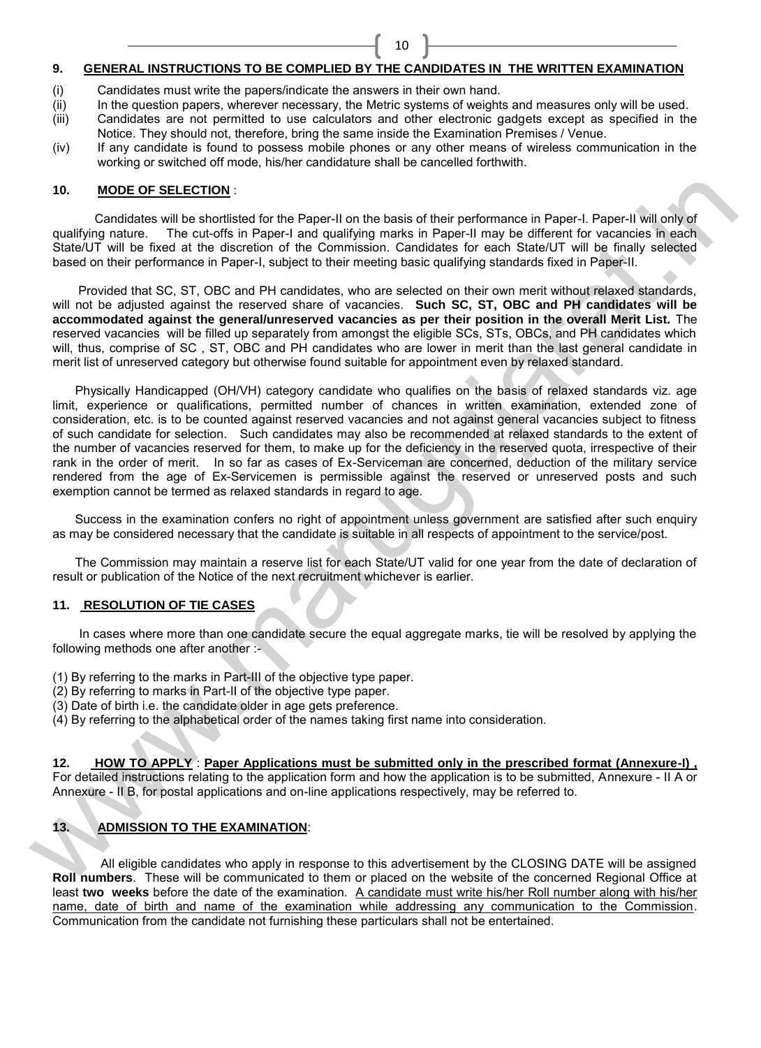#### **9. GENERAL INSTRUCTIONS TO BE COMPLIED BY THE CANDIDATES IN THE WRITTEN EXAMINATION**

10

- (i) Candidates must write the papers/indicate the answers in their own hand.
- 
- (ii) In the question papers, wherever necessary, the Metric systems of weights and measures only will be used.<br>(iii) Candidates are not permitted to use calculators and other electronic gadgets except as specified in th Candidates are not permitted to use calculators and other electronic gadgets except as specified in the Notice. They should not, therefore, bring the same inside the Examination Premises / Venue.
- (iv) If any candidate is found to possess mobile phones or any other means of wireless communication in the working or switched off mode, his/her candidature shall be cancelled forthwith.

#### **10. MODE OF SELECTION** :

 Candidates will be shortlisted for the Paper-II on the basis of their performance in Paper-I. Paper-II will only of qualifying nature. The cut-offs in Paper-I and qualifying marks in Paper-II may be different for vacancies in each State/UT will be fixed at the discretion of the Commission. Candidates for each State/UT will be finally selected based on their performance in Paper-I, subject to their meeting basic qualifying standards fixed in Paper-II.

Provided that SC, ST, OBC and PH candidates, who are selected on their own merit without relaxed standards, will not be adjusted against the reserved share of vacancies. **Such SC, ST, OBC and PH candidates will be accommodated against the general/unreserved vacancies as per their position in the overall Merit List.** The reserved vacancies will be filled up separately from amongst the eligible SCs, STs, OBCs, and PH candidates which will, thus, comprise of SC , ST, OBC and PH candidates who are lower in merit than the last general candidate in merit list of unreserved category but otherwise found suitable for appointment even by relaxed standard.

Physically Handicapped (OH/VH) category candidate who qualifies on the basis of relaxed standards viz. age limit, experience or qualifications, permitted number of chances in written examination, extended zone of consideration, etc. is to be counted against reserved vacancies and not against general vacancies subject to fitness of such candidate for selection. Such candidates may also be recommended at relaxed standards to the extent of the number of vacancies reserved for them, to make up for the deficiency in the reserved quota, irrespective of their rank in the order of merit. In so far as cases of Ex-Serviceman are concerned, deduction of the military service rendered from the age of Ex-Servicemen is permissible against the reserved or unreserved posts and such exemption cannot be termed as relaxed standards in regard to age. 10. MODE OF SELECTION:<br>
We condider solid to select from the Paper-II on the basis of their performance in Paper-II Paper-II we moved<br>
Starfard matter is an excellent matter and consideration from the Substitute of the sel

Success in the examination confers no right of appointment unless government are satisfied after such enquiry as may be considered necessary that the candidate is suitable in all respects of appointment to the service/post.

The Commission may maintain a reserve list for each State/UT valid for one year from the date of declaration of result or publication of the Notice of the next recruitment whichever is earlier.

# **11. RESOLUTION OF TIE CASES**

 In cases where more than one candidate secure the equal aggregate marks, tie will be resolved by applying the following methods one after another :-

- (1) By referring to the marks in Part-III of the objective type paper.
- (2) By referring to marks in Part-II of the objective type paper.
- (3) Date of birth i.e. the candidate older in age gets preference.
- (4) By referring to the alphabetical order of the names taking first name into consideration.

**12. HOW TO APPLY** : **Paper Applications must be submitted only in the prescribed format (Annexure-I) ,**  For detailed instructions relating to the application form and how the application is to be submitted, Annexure - II A or Annexure - II B, for postal applications and on-line applications respectively, may be referred to.

# **13. ADMISSION TO THE EXAMINATION**:

All eligible candidates who apply in response to this advertisement by the CLOSING DATE will be assigned **Roll numbers**. These will be communicated to them or placed on the website of the concerned Regional Office at least **two weeks** before the date of the examination. A candidate must write his/her Roll number along with his/her name, date of birth and name of the examination while addressing any communication to the Commission. Communication from the candidate not furnishing these particulars shall not be entertained.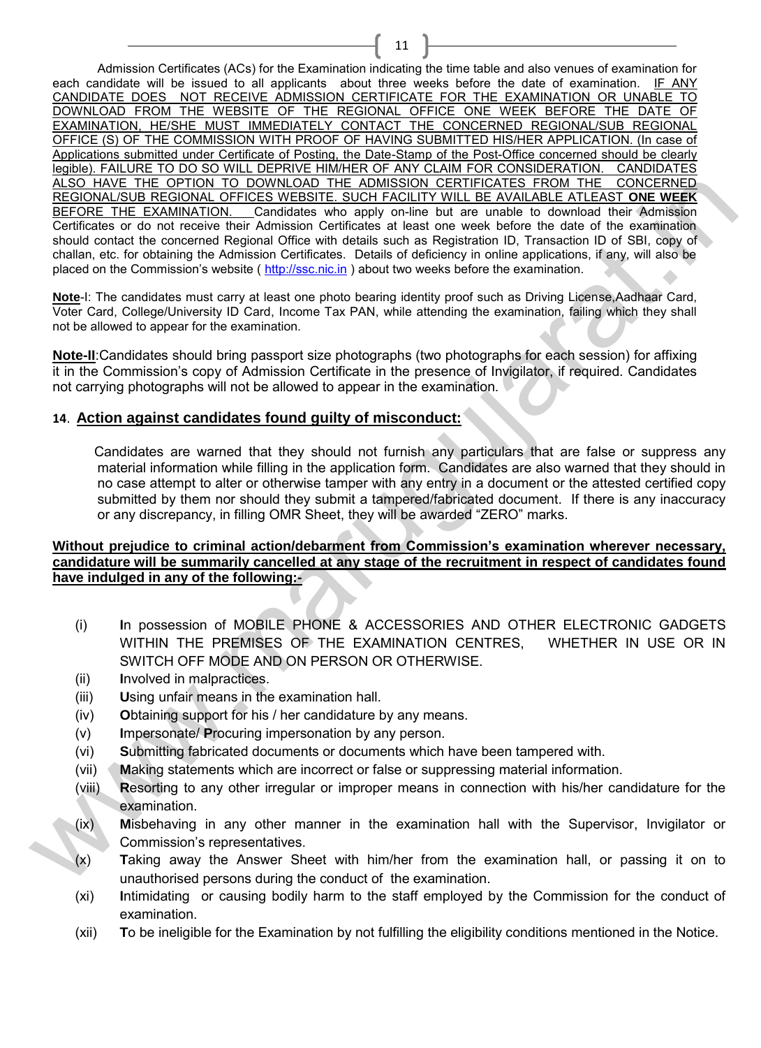Admission Certificates (ACs) for the Examination indicating the time table and also venues of examination for each candidate will be issued to all applicants about three weeks before the date of examination. IF ANY CANDIDATE DOES NOT RECEIVE ADMISSION CERTIFICATE FOR THE EXAMINATION OR UNABLE TO DOWNLOAD FROM THE WEBSITE OF THE REGIONAL OFFICE ONE WEEK BEFORE THE DATE OF EXAMINATION, HE/SHE MUST IMMEDIATELY CONTACT THE CONCERNED REGIONAL/SUB REGIONAL OFFICE (S) OF THE COMMISSION WITH PROOF OF HAVING SUBMITTED HIS/HER APPLICATION. (In case of Applications submitted under Certificate of Posting, the Date-Stamp of the Post-Office concerned should be clearly legible). FAILURE TO DO SO WILL DEPRIVE HIM/HER OF ANY CLAIM FOR CONSIDERATION. CANDIDATES ALSO HAVE THE OPTION TO DOWNLOAD THE ADMISSION CERTIFICATES FROM THE CONCERNED REGIONAL/SUB REGIONAL OFFICES WEBSITE. SUCH FACILITY WILL BE AVAILABLE ATLEAST **ONE WEEK** BEFORE THE EXAMINATION. Candidates who apply on-line but are unable to download their Admission Certificates or do not receive their Admission Certificates at least one week before the date of the examination should contact the concerned Regional Office with details such as Registration ID, Transaction ID of SBI, copy of challan, etc. for obtaining the Admission Certificates. Details of deficiency in online applications, if any, will also be placed on the Commission's website ( http://ssc.nic.in ) about two weeks before the examination. ALSO HAVE THE OFTION TO COYNUGAD THE CONSISSOM CERTIFICATS FROM THE COVERNED RESIDENT (COVERNED CONSISSOM CERTIFICATION CORRESPOND CONTERNS THE SUCH TAGAD TO CONSIST CONSISTENCIAL DEFINITION CONTERNS CONSISTENCIAL DETERMI

11

**Note**-I: The candidates must carry at least one photo bearing identity proof such as Driving License,Aadhaar Card, Voter Card, College/University ID Card, Income Tax PAN, while attending the examination, failing which they shall not be allowed to appear for the examination.

**Note-II**:Candidates should bring passport size photographs (two photographs for each session) for affixing it in the Commission's copy of Admission Certificate in the presence of Invigilator, if required. Candidates not carrying photographs will not be allowed to appear in the examination.

# **14**. **Action against candidates found guilty of misconduct:**

 Candidates are warned that they should not furnish any particulars that are false or suppress any material information while filling in the application form. Candidates are also warned that they should in no case attempt to alter or otherwise tamper with any entry in a document or the attested certified copy submitted by them nor should they submit a tampered/fabricated document. If there is any inaccuracy or any discrepancy, in filling OMR Sheet, they will be awarded "ZERO" marks.

# **Without prejudice to criminal action/debarment from Commission's examination wherever necessary, candidature will be summarily cancelled at any stage of the recruitment in respect of candidates found have indulged in any of the following:-**

- (i) **I**n possession of MOBILE PHONE & ACCESSORIES AND OTHER ELECTRONIC GADGETS WITHIN THE PREMISES OF THE EXAMINATION CENTRES, WHETHER IN USE OR IN SWITCH OFF MODE AND ON PERSON OR OTHERWISE.
- (ii) **I**nvolved in malpractices.
- (iii) **U**sing unfair means in the examination hall.
- (iv) **O**btaining support for his / her candidature by any means.
- (v) **I**mpersonate/ **P**rocuring impersonation by any person.
- (vi) **S**ubmitting fabricated documents or documents which have been tampered with.
- (vii) **M**aking statements which are incorrect or false or suppressing material information.
- (viii) **R**esorting to any other irregular or improper means in connection with his/her candidature for the examination.
- (ix) **M**isbehaving in any other manner in the examination hall with the Supervisor, Invigilator or Commission's representatives.
- (x) **T**aking away the Answer Sheet with him/her from the examination hall, or passing it on to unauthorised persons during the conduct of the examination.
- (xi) **I**ntimidating or causing bodily harm to the staff employed by the Commission for the conduct of examination.
- (xii) **T**o be ineligible for the Examination by not fulfilling the eligibility conditions mentioned in the Notice.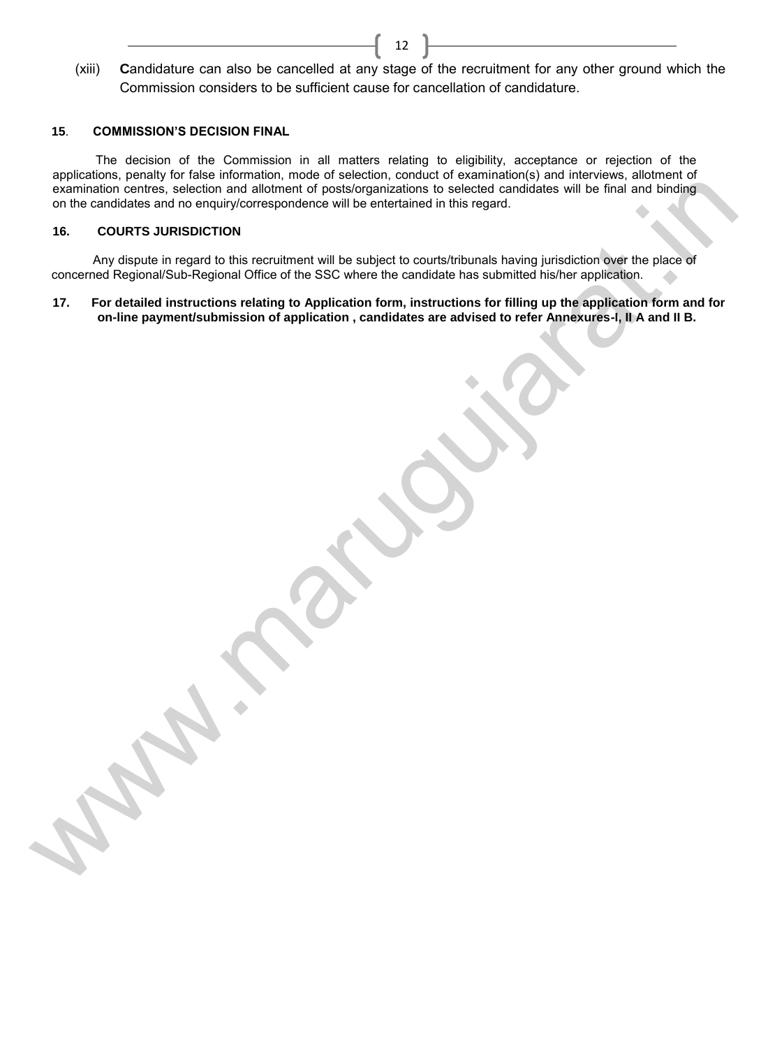(xiii) **C**andidature can also be cancelled at any stage of the recruitment for any other ground which the Commission considers to be sufficient cause for cancellation of candidature.

12

# **15**. **COMMISSION'S DECISION FINAL**

 The decision of the Commission in all matters relating to eligibility, acceptance or rejection of the applications, penalty for false information, mode of selection, conduct of examination(s) and interviews, allotment of examination centres, selection and allotment of posts/organizations to selected candidates will be final and binding on the candidates and no enquiry/correspondence will be entertained in this regard. summation centres, electron and allement of constrollational to beloided and the final simulation of the stress of the stress of the stress of the stress of the stress of the stress of the stress of the stress of the stres

#### **16. COURTS JURISDICTION**

 Any dispute in regard to this recruitment will be subject to courts/tribunals having jurisdiction over the place of concerned Regional/Sub-Regional Office of the SSC where the candidate has submitted his/her application.

**17. For detailed instructions relating to Application form, instructions for filling up the application form and for on-line payment/submission of application , candidates are advised to refer Annexures-I, II A and II B.**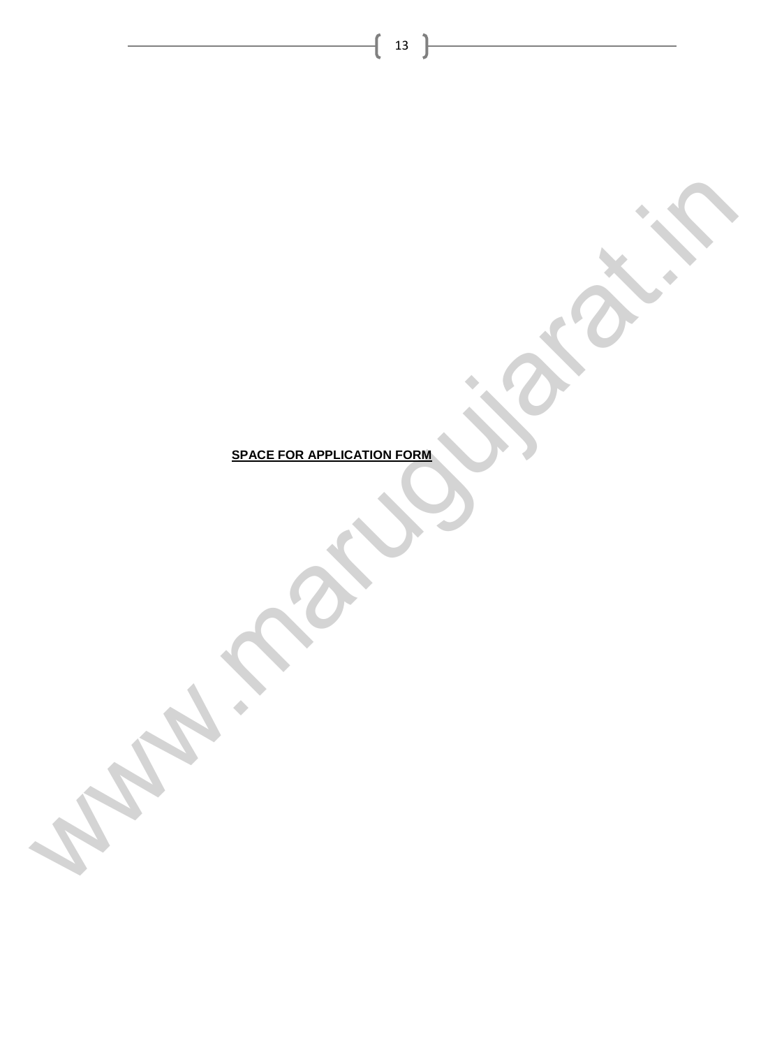**SPACE FOR APPLICATION FORM** Www.marugusarat.in

 $\begin{pmatrix} 13 \end{pmatrix}$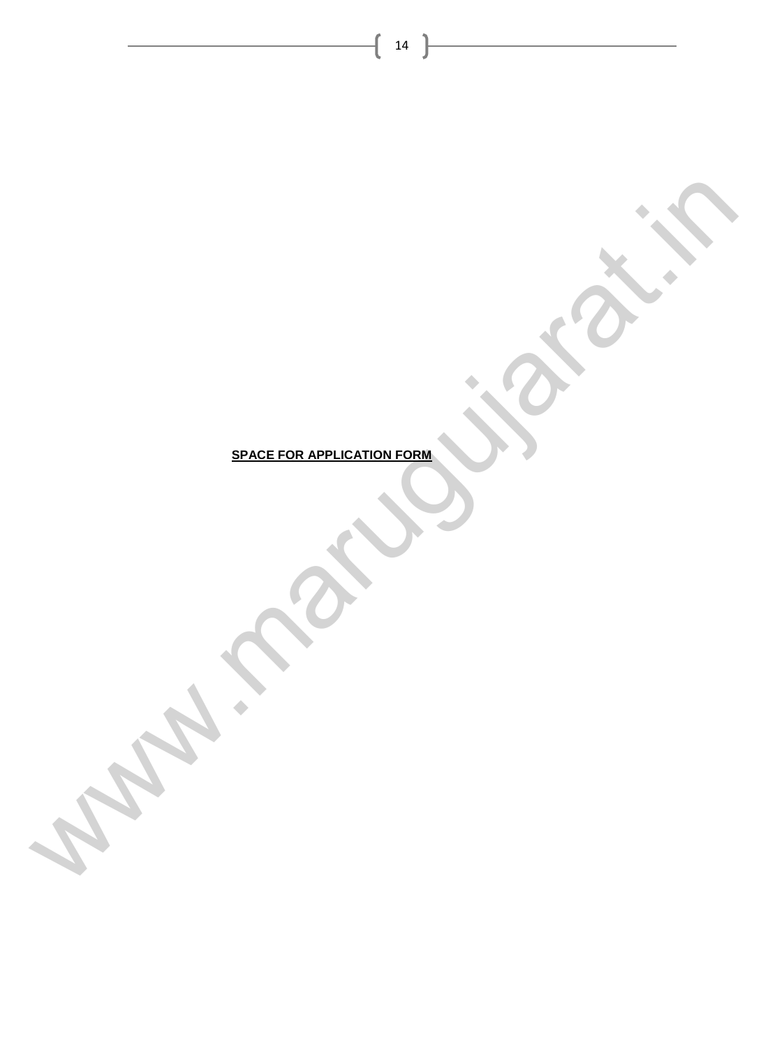**SPACE FOR APPLICATION FORM** Www.marugusarat.in

 $\begin{pmatrix} 14 \end{pmatrix}$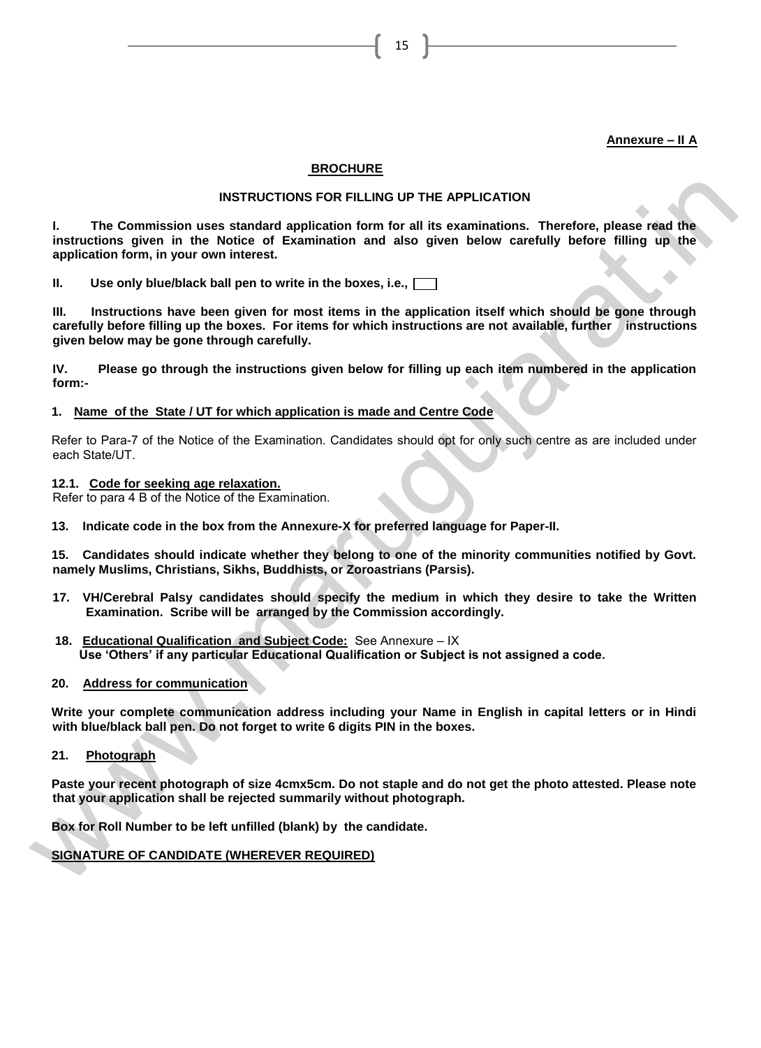# **Annexure – II A**

#### **BROCHURE**

#### **INSTRUCTIONS FOR FILLING UP THE APPLICATION**

15

**I. The Commission uses standard application form for all its examinations. Therefore, please read the instructions given in the Notice of Examination and also given below carefully before filling up the application form, in your own interest.**  INSTRUCTIONS FOR FILLING UP THE APPLICATION<br>
1. The Commission uses standard application form for all its examination and complete instructions, phase read the<br>
instructions given in the Notice of Examination and also giv

**II. Use only blue/black ball pen to write in the boxes, i.e.,**

**III. Instructions have been given for most items in the application itself which should be gone through carefully before filling up the boxes. For items for which instructions are not available, further instructions given below may be gone through carefully.** 

**IV. Please go through the instructions given below for filling up each item numbered in the application form:-**

#### **1. Name of the State / UT for which application is made and Centre Code**

Refer to Para-7 of the Notice of the Examination. Candidates should opt for only such centre as are included under each State/UT.

**12.1. Code for seeking age relaxation.**

Refer to para 4 B of the Notice of the Examination.

**13. Indicate code in the box from the Annexure-X for preferred language for Paper-II.**

**15. Candidates should indicate whether they belong to one of the minority communities notified by Govt. namely Muslims, Christians, Sikhs, Buddhists, or Zoroastrians (Parsis).**

- **17. VH/Cerebral Palsy candidates should specify the medium in which they desire to take the Written Examination. Scribe will be arranged by the Commission accordingly.**
- **18. Educational Qualification and Subject Code:** See Annexure IX  **Use 'Others' if any particular Educational Qualification or Subject is not assigned a code.**
- **20. Address for communication**

**Write your complete communication address including your Name in English in capital letters or in Hindi with blue/black ball pen. Do not forget to write 6 digits PIN in the boxes.** 

**21. Photograph**

**Paste your recent photograph of size 4cmx5cm. Do not staple and do not get the photo attested. Please note that your application shall be rejected summarily without photograph.**

**Box for Roll Number to be left unfilled (blank) by the candidate.**

**SIGNATURE OF CANDIDATE (WHEREVER REQUIRED)**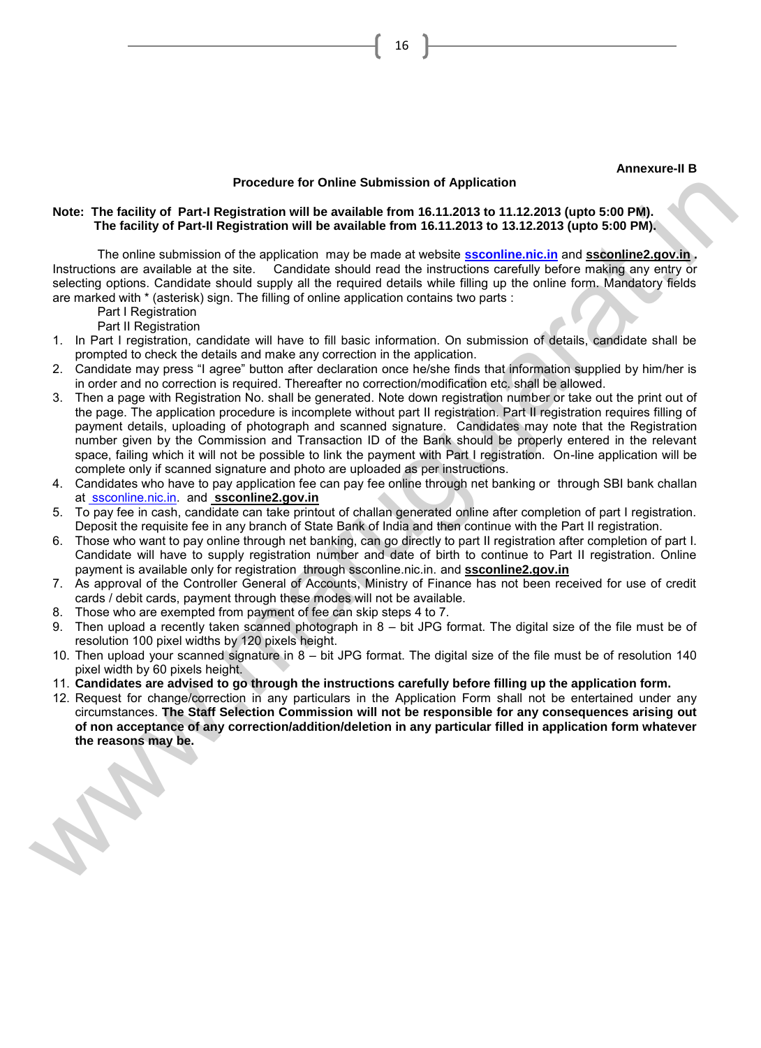#### **Annexure-II B**

# **Procedure for Online Submission of Application**

#### **Note: The facility of Part-I Registration will be available from 16.11.2013 to 11.12.2013 (upto 5:00 PM). The facility of Part-II Registration will be available from 16.11.2013 to 13.12.2013 (upto 5:00 PM).**

 The online submission of the application may be made at website **ssconline.nic.in** and **ssconline2.gov.in .**  Instructions are available at the site. Candidate should read the instructions carefully before making any entry or selecting options. Candidate should supply all the required details while filling up the online form. Mandatory fields are marked with \* (asterisk) sign. The filling of online application contains two parts :

Part I Registration

Part II Registration

- 1. In Part I registration, candidate will have to fill basic information. On submission of details, candidate shall be prompted to check the details and make any correction in the application.
- 2. Candidate may press "I agree" button after declaration once he/she finds that information supplied by him/her is in order and no correction is required. Thereafter no correction/modification etc. shall be allowed.
- 3. Then a page with Registration No. shall be generated. Note down registration number or take out the print out of the page. The application procedure is incomplete without part II registration. Part II registration requires filling of payment details, uploading of photograph and scanned signature. Candidates may note that the Registration number given by the Commission and Transaction ID of the Bank should be properly entered in the relevant space, failing which it will not be possible to link the payment with Part I registration. On-line application will be complete only if scanned signature and photo are uploaded as per instructions. Note: The factility of Parti- Registration will be available from it 4.1 2013 to 11 12.2013 (upto 5:00 PM).<br>
The conting Parti-I Registration will be available from it 6.11.2013 to 11.12.2013 (upto 5:00 PM).<br>
The colline
	- 4. Candidates who have to pay application fee can pay fee online through net banking or through SBI bank challan at ssconline.nic.in. and **ssconline2.gov.in**
	- 5. To pay fee in cash, candidate can take printout of challan generated online after completion of part I registration. Deposit the requisite fee in any branch of State Bank of India and then continue with the Part II registration.
	- 6. Those who want to pay online through net banking, can go directly to part II registration after completion of part I. Candidate will have to supply registration number and date of birth to continue to Part II registration. Online payment is available only for registration through ssconline.nic.in. and **ssconline2.gov.in**
	- 7. As approval of the Controller General of Accounts, Ministry of Finance has not been received for use of credit cards / debit cards, payment through these modes will not be available.
	- 8. Those who are exempted from payment of fee can skip steps 4 to 7.
	- 9. Then upload a recently taken scanned photograph in 8 bit JPG format. The digital size of the file must be of resolution 100 pixel widths by 120 pixels height.
	- 10. Then upload your scanned signature in 8 bit JPG format. The digital size of the file must be of resolution 140 pixel width by 60 pixels height.
	- 11. **Candidates are advised to go through the instructions carefully before filling up the application form.**
	- 12. Request for change/correction in any particulars in the Application Form shall not be entertained under any circumstances. **The Staff Selection Commission will not be responsible for any consequences arising out of non acceptance of any correction/addition/deletion in any particular filled in application form whatever the reasons may be.**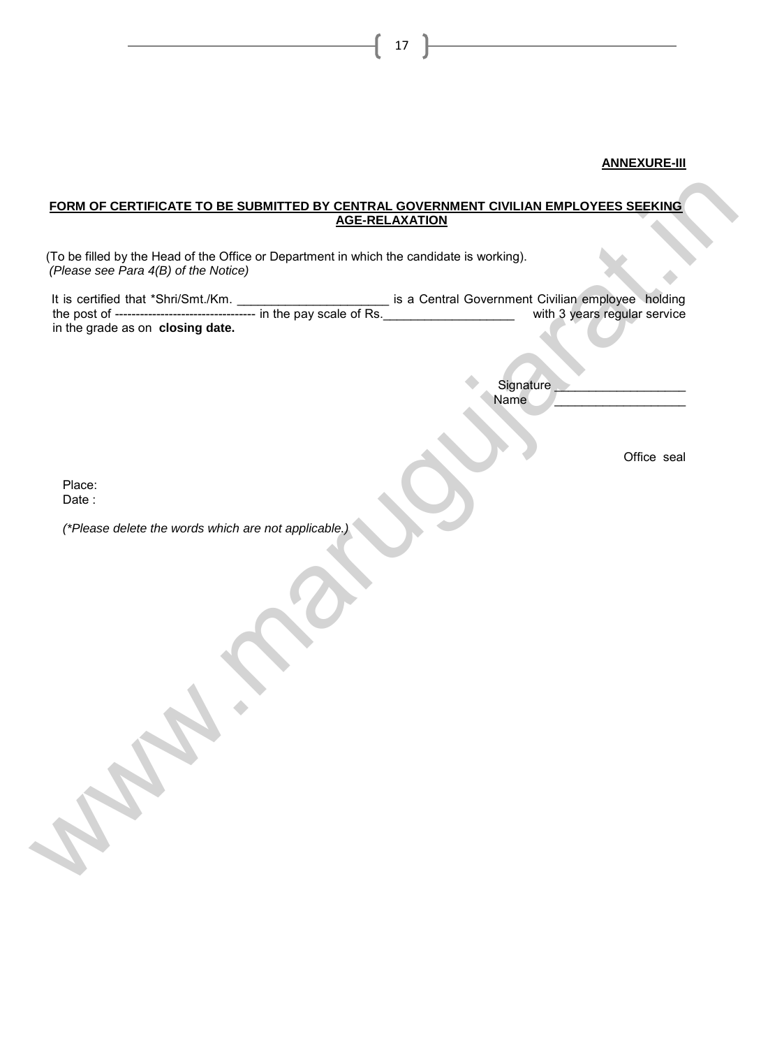# **ANNEXURE-III**

#### **FORM OF CERTIFICATE TO BE SUBMITTED BY CENTRAL GOVERNMENT CIVILIAN EMPLOYEES SEEKING AGE-RELAXATION**

| (To be filled by the Head of the Office or Department in which the candidate is working).<br>(Please see Para 4(B) of the Notice)<br>in the grade as on closing date. |                   |             |
|-----------------------------------------------------------------------------------------------------------------------------------------------------------------------|-------------------|-------------|
|                                                                                                                                                                       |                   |             |
|                                                                                                                                                                       |                   |             |
|                                                                                                                                                                       |                   |             |
|                                                                                                                                                                       |                   |             |
|                                                                                                                                                                       | Signature<br>Name |             |
|                                                                                                                                                                       |                   |             |
|                                                                                                                                                                       |                   | Office seal |
|                                                                                                                                                                       |                   |             |
| Place:<br>Date:                                                                                                                                                       |                   |             |
| (*Please delete the words which are not applicable.)                                                                                                                  |                   |             |
|                                                                                                                                                                       |                   |             |
|                                                                                                                                                                       |                   |             |
|                                                                                                                                                                       |                   |             |
|                                                                                                                                                                       |                   |             |
|                                                                                                                                                                       |                   |             |
|                                                                                                                                                                       |                   |             |
| <b>CABO</b>                                                                                                                                                           |                   |             |
|                                                                                                                                                                       |                   |             |
|                                                                                                                                                                       |                   |             |
|                                                                                                                                                                       |                   |             |
|                                                                                                                                                                       |                   |             |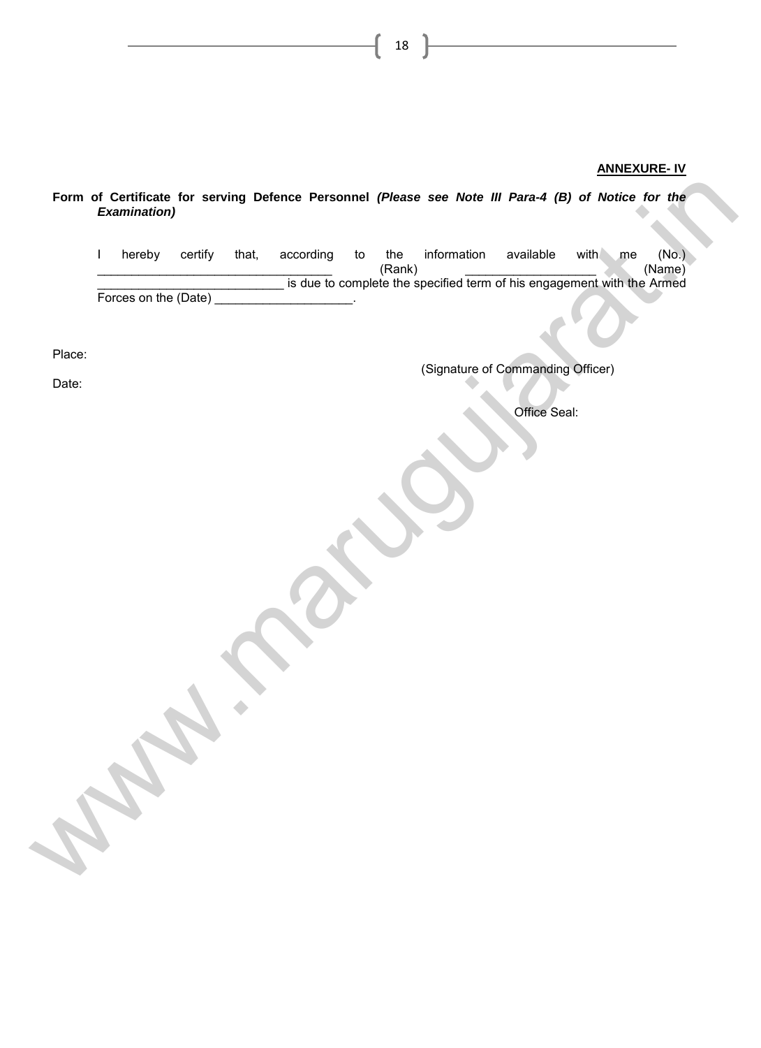#### **ANNEXURE- IV**

*Examination)* I hereby certify that, according to the information available with me (No.)<br>(Name) \_\_\_\_\_\_\_\_\_\_\_\_\_\_\_\_\_\_\_\_\_\_\_\_\_\_\_\_\_\_\_\_\_\_ (Rank) \_\_\_\_\_\_\_\_\_\_\_\_\_\_\_\_\_\_\_ (Name) \_\_\_\_\_\_\_\_\_\_\_\_\_\_\_\_\_\_\_\_\_\_\_\_\_\_\_ is due to complete the specified term of his engagement with the Armed Forces on the (Date) Place: (Signature of Commanding Officer) Date: Office Seal: Form of Certificate for serving Defence Personnel (Please see Note III Para-4 (B) of Notice for the<br>
Lineary certify that, according to the information available with the real of the<br>
Forces on the (Date) the dialets compl

18

**Form of Certificate for serving Defence Personnel** *(Please see Note III Para-4 (B) of Notice for the*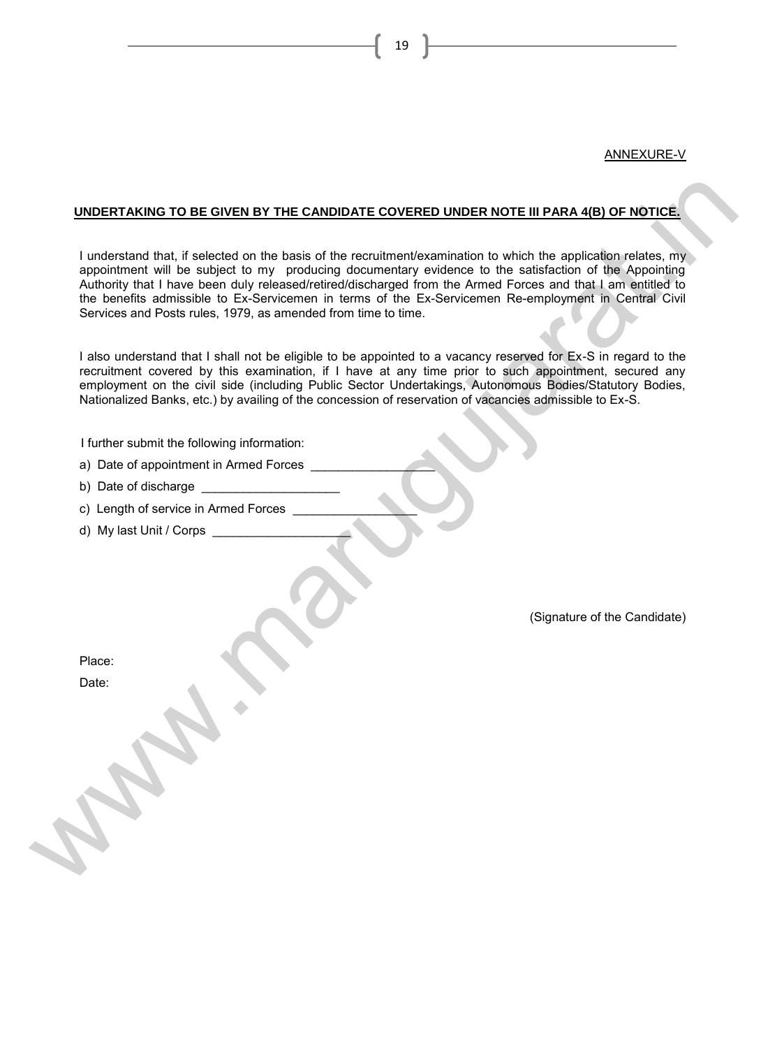#### ANNEXURE-V

#### **UNDERTAKING TO BE GIVEN BY THE CANDIDATE COVERED UNDER NOTE III PARA 4(B) OF NOTICE.**

I understand that, if selected on the basis of the recruitment/examination to which the application relates, my appointment will be subject to my producing documentary evidence to the satisfaction of the Appointing Authority that I have been duly released/retired/discharged from the Armed Forces and that I am entitled to the benefits admissible to Ex-Servicemen in terms of the Ex-Servicemen Re-employment in Central Civil Services and Posts rules, 1979, as amended from time to time. WINDERTAKING TO BE GIVEN BY THE CANDIDATE COVERED UNDER NOTE III PARA 4(B) OF NOTICE.<br>
I uncertaint that, if see clear of the least of the rechultenative annualism to which the applicable neistes. my<br>
supplements all the b

I also understand that I shall not be eligible to be appointed to a vacancy reserved for Ex-S in regard to the recruitment covered by this examination, if I have at any time prior to such appointment, secured any employment on the civil side (including Public Sector Undertakings, Autonomous Bodies/Statutory Bodies, Nationalized Banks, etc.) by availing of the concession of reservation of vacancies admissible to Ex-S.

I further submit the following information:

a) Date of appointment in Armed Forces

b) Date of discharge

c) Length of service in Armed Forces

d) My last Unit / Corps

(Signature of the Candidate)

Place:

Date: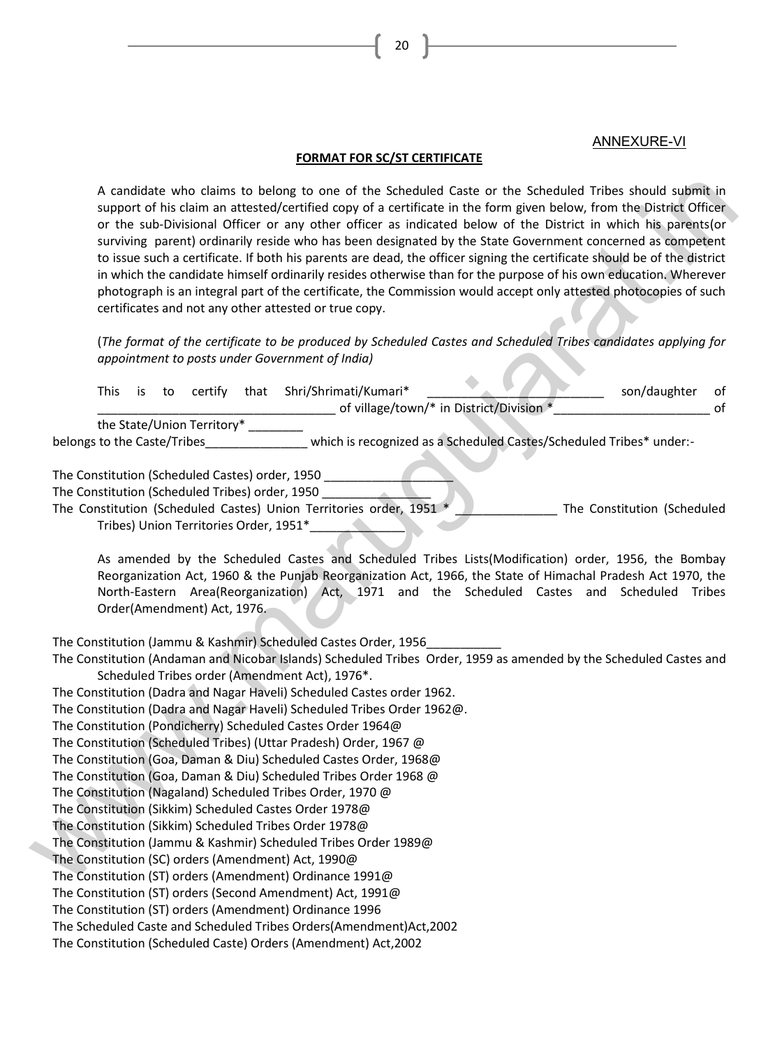# ANNEXURE-VI

#### **FORMAT FOR SC/ST CERTIFICATE**

| A candidate who claims to belong to one of the Scheduled Caste or the Scheduled Tribes should submit in<br>support of his claim an attested/certified copy of a certificate in the form given below, from the District Officer<br>or the sub-Divisional Officer or any other officer as indicated below of the District in which his parents(or<br>surviving parent) ordinarily reside who has been designated by the State Government concerned as competent<br>to issue such a certificate. If both his parents are dead, the officer signing the certificate should be of the district<br>in which the candidate himself ordinarily resides otherwise than for the purpose of his own education. Wherever<br>photograph is an integral part of the certificate, the Commission would accept only attested photocopies of such<br>certificates and not any other attested or true copy. |  |
|-------------------------------------------------------------------------------------------------------------------------------------------------------------------------------------------------------------------------------------------------------------------------------------------------------------------------------------------------------------------------------------------------------------------------------------------------------------------------------------------------------------------------------------------------------------------------------------------------------------------------------------------------------------------------------------------------------------------------------------------------------------------------------------------------------------------------------------------------------------------------------------------|--|
| (The format of the certificate to be produced by Scheduled Castes and Scheduled Tribes candidates applying for<br>appointment to posts under Government of India)                                                                                                                                                                                                                                                                                                                                                                                                                                                                                                                                                                                                                                                                                                                         |  |
| Shri/Shrimati/Kumari*<br>son/daughter<br><b>This</b><br>certify<br>that<br>is<br>to<br>οf<br>of village/town/* in District/Division *<br>of                                                                                                                                                                                                                                                                                                                                                                                                                                                                                                                                                                                                                                                                                                                                               |  |
| the State/Union Territory*<br>which is recognized as a Scheduled Castes/Scheduled Tribes* under:-<br>belongs to the Caste/Tribes                                                                                                                                                                                                                                                                                                                                                                                                                                                                                                                                                                                                                                                                                                                                                          |  |
| The Constitution (Scheduled Castes) order, 1950                                                                                                                                                                                                                                                                                                                                                                                                                                                                                                                                                                                                                                                                                                                                                                                                                                           |  |
| The Constitution (Scheduled Tribes) order, 1950<br>The Constitution (Scheduled Castes) Union Territories order, 1951 *<br>The Constitution (Scheduled<br>Tribes) Union Territories Order, 1951*                                                                                                                                                                                                                                                                                                                                                                                                                                                                                                                                                                                                                                                                                           |  |
| As amended by the Scheduled Castes and Scheduled Tribes Lists(Modification) order, 1956, the Bombay<br>Reorganization Act, 1960 & the Punjab Reorganization Act, 1966, the State of Himachal Pradesh Act 1970, the<br>North-Eastern Area(Reorganization) Act, 1971 and the Scheduled Castes and Scheduled Tribes<br>Order(Amendment) Act, 1976.                                                                                                                                                                                                                                                                                                                                                                                                                                                                                                                                           |  |
| The Constitution (Jammu & Kashmir) Scheduled Castes Order, 1956<br>The Constitution (Andaman and Nicobar Islands) Scheduled Tribes Order, 1959 as amended by the Scheduled Castes and                                                                                                                                                                                                                                                                                                                                                                                                                                                                                                                                                                                                                                                                                                     |  |
| Scheduled Tribes order (Amendment Act), 1976*.                                                                                                                                                                                                                                                                                                                                                                                                                                                                                                                                                                                                                                                                                                                                                                                                                                            |  |
| The Constitution (Dadra and Nagar Haveli) Scheduled Castes order 1962.<br>The Constitution (Dadra and Nagar Haveli) Scheduled Tribes Order 1962@.                                                                                                                                                                                                                                                                                                                                                                                                                                                                                                                                                                                                                                                                                                                                         |  |
| The Constitution (Pondicherry) Scheduled Castes Order 1964@                                                                                                                                                                                                                                                                                                                                                                                                                                                                                                                                                                                                                                                                                                                                                                                                                               |  |
| The Constitution (Scheduled Tribes) (Uttar Pradesh) Order, 1967 @                                                                                                                                                                                                                                                                                                                                                                                                                                                                                                                                                                                                                                                                                                                                                                                                                         |  |
| The Constitution (Goa, Daman & Diu) Scheduled Castes Order, 1968@                                                                                                                                                                                                                                                                                                                                                                                                                                                                                                                                                                                                                                                                                                                                                                                                                         |  |
| The Constitution (Goa, Daman & Diu) Scheduled Tribes Order 1968 @                                                                                                                                                                                                                                                                                                                                                                                                                                                                                                                                                                                                                                                                                                                                                                                                                         |  |
| The Constitution (Nagaland) Scheduled Tribes Order, 1970 @                                                                                                                                                                                                                                                                                                                                                                                                                                                                                                                                                                                                                                                                                                                                                                                                                                |  |
| The Constitution (Sikkim) Scheduled Castes Order 1978@                                                                                                                                                                                                                                                                                                                                                                                                                                                                                                                                                                                                                                                                                                                                                                                                                                    |  |
| The Constitution (Sikkim) Scheduled Tribes Order 1978@                                                                                                                                                                                                                                                                                                                                                                                                                                                                                                                                                                                                                                                                                                                                                                                                                                    |  |
| The Constitution (Jammu & Kashmir) Scheduled Tribes Order 1989@                                                                                                                                                                                                                                                                                                                                                                                                                                                                                                                                                                                                                                                                                                                                                                                                                           |  |
| The Constitution (SC) orders (Amendment) Act, 1990@                                                                                                                                                                                                                                                                                                                                                                                                                                                                                                                                                                                                                                                                                                                                                                                                                                       |  |
| The Constitution (ST) orders (Amendment) Ordinance 1991@                                                                                                                                                                                                                                                                                                                                                                                                                                                                                                                                                                                                                                                                                                                                                                                                                                  |  |
| The Constitution (ST) orders (Second Amendment) Act, 1991@                                                                                                                                                                                                                                                                                                                                                                                                                                                                                                                                                                                                                                                                                                                                                                                                                                |  |

The Constitution (ST) orders (Amendment) Ordinance 1996

The Scheduled Caste and Scheduled Tribes Orders(Amendment)Act,2002

The Constitution (Scheduled Caste) Orders (Amendment) Act,2002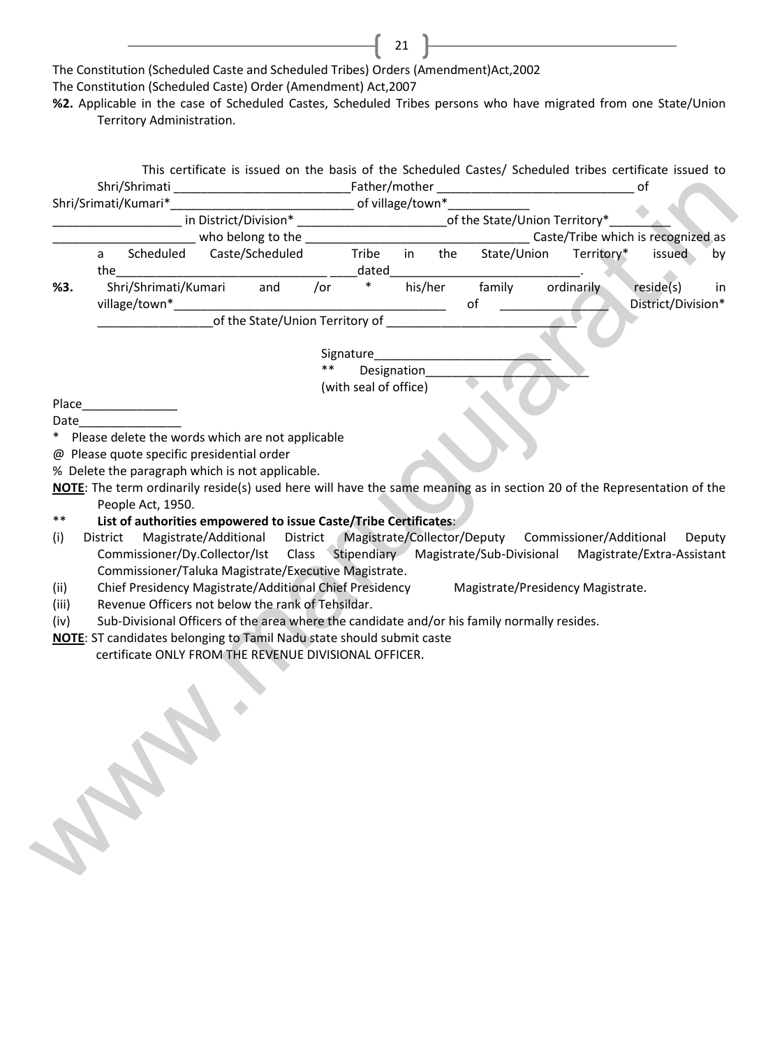The Constitution (Scheduled Caste and Scheduled Tribes) Orders (Amendment)Act,2002 The Constitution (Scheduled Caste) Order (Amendment) Act,2007

**%2.** Applicable in the case of Scheduled Castes, Scheduled Tribes persons who have migrated from one State/Union Territory Administration.

21

|                              |          | Shri/Shrimati        |                      |                                                                              |         |                                                                                                     |         |     |                                                                                                                        |                        | of                              |    |
|------------------------------|----------|----------------------|----------------------|------------------------------------------------------------------------------|---------|-----------------------------------------------------------------------------------------------------|---------|-----|------------------------------------------------------------------------------------------------------------------------|------------------------|---------------------------------|----|
|                              |          | Shri/Srimati/Kumari* |                      |                                                                              |         |                                                                                                     |         |     |                                                                                                                        |                        |                                 |    |
|                              |          |                      |                      |                                                                              |         |                                                                                                     |         |     | in District/Division* _____________________________of the State/Union Territory*_                                      |                        |                                 |    |
|                              |          |                      |                      |                                                                              |         |                                                                                                     |         |     |                                                                                                                        |                        |                                 |    |
|                              | a        |                      |                      | Scheduled Caste/Scheduled                                                    |         | Tribe                                                                                               | in      | the |                                                                                                                        | State/Union Territory* | issued                          | by |
|                              | the      |                      |                      |                                                                              |         | ${\small \sf \small \textsf{dated}} \_\_ \_\_ \_\_ \_\_ \_\_ \_\_ \_\_ \_\_ \_\_ \_\_ \_\_ \_\_ \_$ |         |     |                                                                                                                        |                        |                                 |    |
| %3.                          |          |                      | Shri/Shrimati/Kumari |                                                                              | and /or | $\ast$                                                                                              | his/her |     | family<br>of                                                                                                           | ordinarily             | reside(s)<br>District/Division* | in |
|                              |          |                      |                      | of the State/Union Territory of                                              |         |                                                                                                     |         |     |                                                                                                                        |                        |                                 |    |
|                              |          |                      |                      |                                                                              |         | Signature                                                                                           |         |     |                                                                                                                        |                        |                                 |    |
|                              |          |                      |                      |                                                                              | $***$   | Designation                                                                                         |         |     |                                                                                                                        |                        |                                 |    |
|                              |          |                      |                      |                                                                              |         | (with seal of office)                                                                               |         |     |                                                                                                                        |                        |                                 |    |
|                              |          |                      |                      |                                                                              |         |                                                                                                     |         |     |                                                                                                                        |                        |                                 |    |
| Date                         |          |                      |                      |                                                                              |         |                                                                                                     |         |     |                                                                                                                        |                        |                                 |    |
|                              |          |                      |                      | Please delete the words which are not applicable                             |         |                                                                                                     |         |     |                                                                                                                        |                        |                                 |    |
|                              |          |                      |                      |                                                                              |         |                                                                                                     |         |     |                                                                                                                        |                        |                                 |    |
|                              |          |                      |                      | @ Please quote specific presidential order                                   |         |                                                                                                     |         |     |                                                                                                                        |                        |                                 |    |
|                              |          |                      |                      |                                                                              |         |                                                                                                     |         |     |                                                                                                                        |                        |                                 |    |
|                              |          |                      |                      | % Delete the paragraph which is not applicable.                              |         |                                                                                                     |         |     |                                                                                                                        |                        |                                 |    |
|                              |          |                      |                      |                                                                              |         |                                                                                                     |         |     |                                                                                                                        |                        |                                 |    |
|                              |          |                      |                      |                                                                              |         |                                                                                                     |         |     |                                                                                                                        |                        |                                 |    |
|                              |          |                      |                      |                                                                              |         |                                                                                                     |         |     | NOTE: The term ordinarily reside(s) used here will have the same meaning as in section 20 of the Representation of the |                        |                                 |    |
|                              |          | People Act, 1950.    |                      |                                                                              |         |                                                                                                     |         |     |                                                                                                                        |                        |                                 |    |
| **                           |          |                      |                      | List of authorities empowered to issue Caste/Tribe Certificates:             |         |                                                                                                     |         |     |                                                                                                                        |                        |                                 |    |
|                              | District |                      |                      |                                                                              |         |                                                                                                     |         |     | Magistrate/Additional District Magistrate/Collector/Deputy Commissioner/Additional Deputy                              |                        |                                 |    |
|                              |          |                      |                      |                                                                              |         |                                                                                                     |         |     |                                                                                                                        |                        |                                 |    |
|                              |          |                      |                      |                                                                              |         |                                                                                                     |         |     | Commissioner/Dy.Collector/Ist Class Stipendiary Magistrate/Sub-Divisional Magistrate/Extra-Assistant                   |                        |                                 |    |
|                              |          |                      |                      | Commissioner/Taluka Magistrate/Executive Magistrate.                         |         |                                                                                                     |         |     |                                                                                                                        |                        |                                 |    |
|                              |          |                      |                      |                                                                              |         |                                                                                                     |         |     | Chief Presidency Magistrate/Additional Chief Presidency Magistrate/Presidency Magistrate.                              |                        |                                 |    |
|                              |          |                      |                      | Revenue Officers not below the rank of Tehsildar.                            |         |                                                                                                     |         |     |                                                                                                                        |                        |                                 |    |
| (i)<br>(ii)<br>(iii)<br>(iv) |          |                      |                      |                                                                              |         |                                                                                                     |         |     | Sub-Divisional Officers of the area where the candidate and/or his family normally resides.                            |                        |                                 |    |
|                              |          |                      |                      |                                                                              |         |                                                                                                     |         |     |                                                                                                                        |                        |                                 |    |
|                              |          |                      |                      | <b>NOTE:</b> ST candidates belonging to Tamil Nadu state should submit caste |         |                                                                                                     |         |     |                                                                                                                        |                        |                                 |    |
|                              |          |                      |                      | certificate ONLY FROM THE REVENUE DIVISIONAL OFFICER.                        |         |                                                                                                     |         |     |                                                                                                                        |                        |                                 |    |
|                              |          |                      |                      |                                                                              |         |                                                                                                     |         |     |                                                                                                                        |                        |                                 |    |
|                              |          |                      |                      |                                                                              |         |                                                                                                     |         |     |                                                                                                                        |                        |                                 |    |
|                              |          |                      |                      |                                                                              |         |                                                                                                     |         |     |                                                                                                                        |                        |                                 |    |
|                              |          |                      |                      |                                                                              |         |                                                                                                     |         |     |                                                                                                                        |                        |                                 |    |
|                              |          |                      |                      |                                                                              |         |                                                                                                     |         |     |                                                                                                                        |                        |                                 |    |
|                              |          |                      |                      |                                                                              |         |                                                                                                     |         |     |                                                                                                                        |                        |                                 |    |
|                              |          |                      |                      |                                                                              |         |                                                                                                     |         |     |                                                                                                                        |                        |                                 |    |
|                              |          |                      |                      |                                                                              |         |                                                                                                     |         |     |                                                                                                                        |                        |                                 |    |
|                              |          |                      |                      |                                                                              |         |                                                                                                     |         |     |                                                                                                                        |                        |                                 |    |
|                              |          |                      |                      |                                                                              |         |                                                                                                     |         |     |                                                                                                                        |                        |                                 |    |
|                              |          |                      |                      |                                                                              |         |                                                                                                     |         |     |                                                                                                                        |                        |                                 |    |
|                              |          |                      |                      |                                                                              |         |                                                                                                     |         |     |                                                                                                                        |                        |                                 |    |
|                              |          |                      |                      |                                                                              |         |                                                                                                     |         |     |                                                                                                                        |                        |                                 |    |
|                              |          |                      |                      |                                                                              |         |                                                                                                     |         |     |                                                                                                                        |                        |                                 |    |
|                              |          | <b>COLD BY</b>       |                      |                                                                              |         |                                                                                                     |         |     |                                                                                                                        |                        |                                 |    |

- \*\* **List of authorities empowered to issue Caste/Tribe Certificates**:
- (i) District Magistrate/Additional District Magistrate/Collector/Deputy Commissioner/Additional Deputy Commissioner/Dy.Collector/Ist Class Stipendiary Magistrate/Sub-Divisional Magistrate/Extra-Assistant Commissioner/Taluka Magistrate/Executive Magistrate.
- (ii) Chief Presidency Magistrate/Additional Chief Presidency Magistrate/Presidency Magistrate.
- (iii) Revenue Officers not below the rank of Tehsildar.
- (iv) Sub-Divisional Officers of the area where the candidate and/or his family normally resides.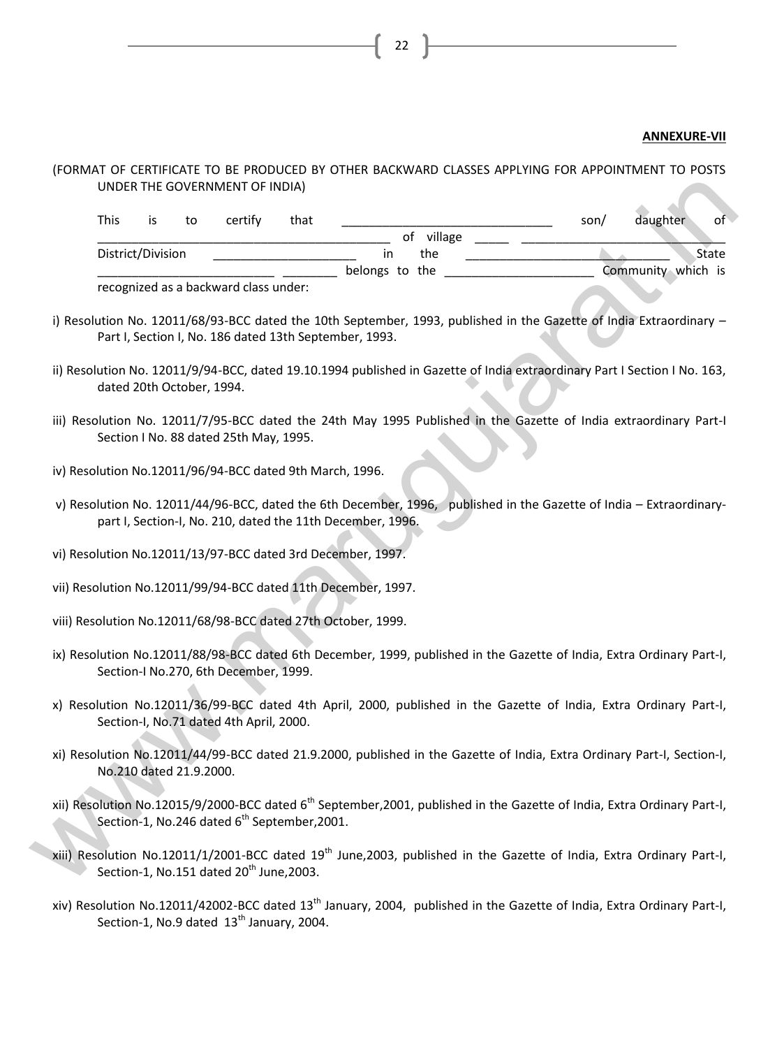#### **ANNEXURE-VII**

# (FORMAT OF CERTIFICATE TO BE PRODUCED BY OTHER BACKWARD CLASSES APPLYING FOR APPOINTMENT TO POSTS UNDER THE GOVERNMENT OF INDIA)

|             |                           |    | UNDER THE GOVERNMENT OF INDIA)                           |      |                                                               |            |                                                                                                                                      |                    |       |
|-------------|---------------------------|----|----------------------------------------------------------|------|---------------------------------------------------------------|------------|--------------------------------------------------------------------------------------------------------------------------------------|--------------------|-------|
| <b>This</b> | is                        | to | certify                                                  | that |                                                               |            | son/                                                                                                                                 | daughter           | of    |
|             |                           |    |                                                          |      |                                                               | of village |                                                                                                                                      |                    |       |
|             | District/Division         |    |                                                          |      | in                                                            | the        |                                                                                                                                      |                    | State |
|             |                           |    | recognized as a backward class under:                    |      | belongs to the                                                |            |                                                                                                                                      | Community which is |       |
|             |                           |    |                                                          |      |                                                               |            |                                                                                                                                      |                    |       |
|             |                           |    |                                                          |      | Part I, Section I, No. 186 dated 13th September, 1993.        |            | i) Resolution No. 12011/68/93-BCC dated the 10th September, 1993, published in the Gazette of India Extraordinary -                  |                    |       |
|             | dated 20th October, 1994. |    |                                                          |      |                                                               |            | ii) Resolution No. 12011/9/94-BCC, dated 19.10.1994 published in Gazette of India extraordinary Part I Section I No. 163,            |                    |       |
|             |                           |    | Section I No. 88 dated 25th May, 1995.                   |      |                                                               |            | iii) Resolution No. 12011/7/95-BCC dated the 24th May 1995 Published in the Gazette of India extraordinary Part-I                    |                    |       |
|             |                           |    | iv) Resolution No.12011/96/94-BCC dated 9th March, 1996. |      |                                                               |            |                                                                                                                                      |                    |       |
|             |                           |    |                                                          |      | part I, Section-I, No. 210, dated the 11th December, 1996.    |            | v) Resolution No. 12011/44/96-BCC, dated the 6th December, 1996, published in the Gazette of India - Extraordinary-                  |                    |       |
|             |                           |    |                                                          |      | vi) Resolution No.12011/13/97-BCC dated 3rd December, 1997.   |            |                                                                                                                                      |                    |       |
|             |                           |    |                                                          |      | vii) Resolution No.12011/99/94-BCC dated 11th December, 1997. |            |                                                                                                                                      |                    |       |
|             |                           |    |                                                          |      | viii) Resolution No.12011/68/98-BCC dated 27th October, 1999. |            |                                                                                                                                      |                    |       |
|             |                           |    | Section-I No.270, 6th December, 1999.                    |      |                                                               |            | ix) Resolution No.12011/88/98-BCC dated 6th December, 1999, published in the Gazette of India, Extra Ordinary Part-I,                |                    |       |
|             |                           |    | Section-I, No.71 dated 4th April, 2000.                  |      |                                                               |            | x) Resolution No.12011/36/99-BCC dated 4th April, 2000, published in the Gazette of India, Extra Ordinary Part-I,                    |                    |       |
|             | No.210 dated 21.9.2000.   |    |                                                          |      |                                                               |            | xi) Resolution No.12011/44/99-BCC dated 21.9.2000, published in the Gazette of India, Extra Ordinary Part-I, Section-I,              |                    |       |
|             |                           |    | Section-1, No.246 dated 6 <sup>th</sup> September, 2001. |      |                                                               |            | xii) Resolution No.12015/9/2000-BCC dated 6 <sup>th</sup> September, 2001, published in the Gazette of India, Extra Ordinary Part-I, |                    |       |
|             |                           |    | Section-1, No.151 dated 20 <sup>th</sup> June, 2003.     |      |                                                               |            | xiii) Resolution No.12011/1/2001-BCC dated 19 <sup>th</sup> June, 2003, published in the Gazette of India, Extra Ordinary Part-I,    |                    |       |

- i) Resolution No. 12011/68/93-BCC dated the 10th September, 1993, published in the Gazette of India Extraordinary -Part I, Section I, No. 186 dated 13th September, 1993.
- ii) Resolution No. 12011/9/94-BCC, dated 19.10.1994 published in Gazette of India extraordinary Part I Section I No. 163, dated 20th October, 1994.
- iii) Resolution No. 12011/7/95-BCC dated the 24th May 1995 Published in the Gazette of India extraordinary Part-I Section I No. 88 dated 25th May, 1995.
- iv) Resolution No.12011/96/94-BCC dated 9th March, 1996.
- v) Resolution No. 12011/44/96-BCC, dated the 6th December, 1996, published in the Gazette of India Extraordinarypart I, Section-I, No. 210, dated the 11th December, 1996.
- vi) Resolution No.12011/13/97-BCC dated 3rd December, 1997.
- vii) Resolution No.12011/99/94-BCC dated 11th December, 1997.
- viii) Resolution No.12011/68/98-BCC dated 27th October, 1999.
- ix) Resolution No.12011/88/98-BCC dated 6th December, 1999, published in the Gazette of India, Extra Ordinary Part-I, Section-I No.270, 6th December, 1999.
- x) Resolution No.12011/36/99-BCC dated 4th April, 2000, published in the Gazette of India, Extra Ordinary Part-I, Section-I, No.71 dated 4th April, 2000.
- xi) Resolution No.12011/44/99-BCC dated 21.9.2000, published in the Gazette of India, Extra Ordinary Part-I, Section-I, No.210 dated 21.9.2000.
- xii) Resolution No.12015/9/2000-BCC dated 6<sup>th</sup> September,2001, published in the Gazette of India, Extra Ordinary Part-I, Section-1, No.246 dated  $6<sup>th</sup>$  September, 2001.
- xiii) Resolution No.12011/1/2001-BCC dated 19<sup>th</sup> June,2003, published in the Gazette of India, Extra Ordinary Part-I, Section-1, No.151 dated  $20<sup>th</sup>$  June, 2003.
- xiv) Resolution No.12011/42002-BCC dated 13<sup>th</sup> January, 2004, published in the Gazette of India, Extra Ordinary Part-I, Section-1, No.9 dated 13<sup>th</sup> January, 2004.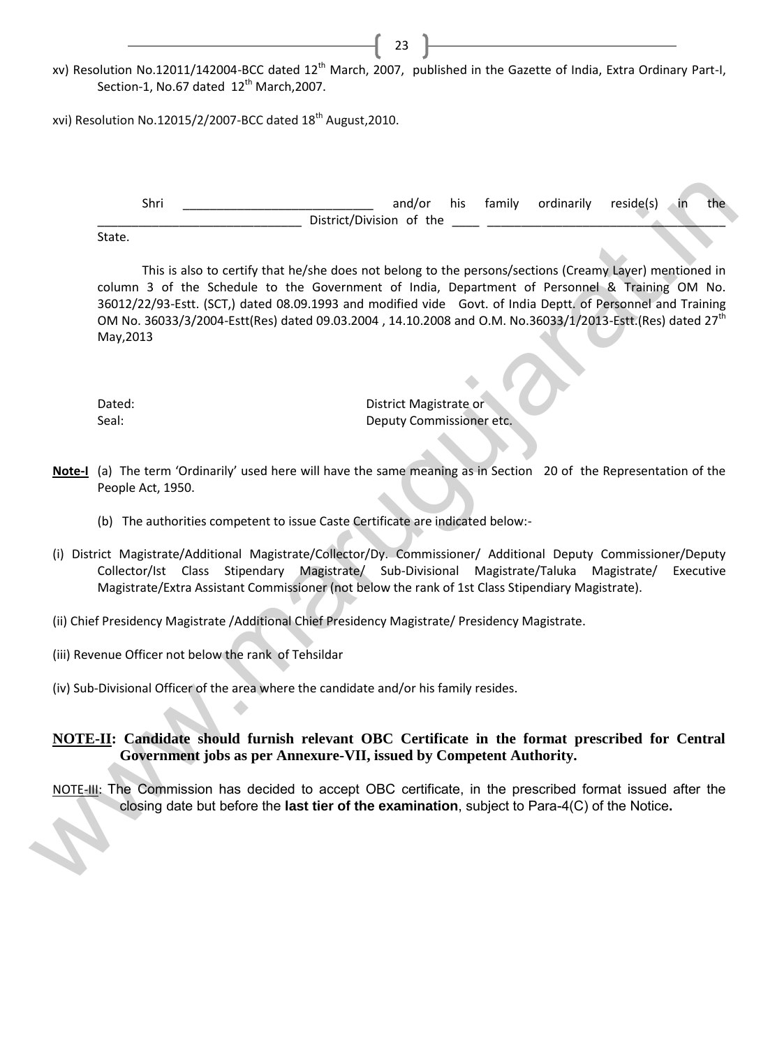xv) Resolution No.12011/142004-BCC dated 12<sup>th</sup> March, 2007, published in the Gazette of India, Extra Ordinary Part-I, Section-1, No.67 dated  $12^{th}$  March, 2007.

23

xvi) Resolution No.12015/2/2007-BCC dated 18<sup>th</sup> August, 2010.

Shri \_\_\_\_\_\_\_\_\_\_\_\_\_\_\_\_\_\_\_\_\_\_\_\_\_\_\_\_ and/or his family ordinarily reside(s) in the District/Division of the

State.

This is also to certify that he/she does not belong to the persons/sections (Creamy Layer) mentioned in column 3 of the Schedule to the Government of India, Department of Personnel & Training OM No. 36012/22/93-Estt. (SCT,) dated 08.09.1993 and modified vide Govt. of India Deptt. of Personnel and Training OM No. 36033/3/2004-Estt(Res) dated 09.03.2004, 14.10.2008 and O.M. No.36033/1/2013-Estt.(Res) dated 27<sup>th</sup> May,2013 Strict and for this family ordinarily resided.) In the State of State This is also to certify that topological the the concernent of the symmetric increase the State of the State of the State of the State of the State of

Dated: Dated: District Magistrate or Seal: Deputy Commissioner etc.

- **Note-I** (a) The term 'Ordinarily' used here will have the same meaning as in Section 20 of the Representation of the People Act, 1950.
	- (b) The authorities competent to issue Caste Certificate are indicated below:-
- (i) District Magistrate/Additional Magistrate/Collector/Dy. Commissioner/ Additional Deputy Commissioner/Deputy Collector/Ist Class Stipendary Magistrate/ Sub-Divisional Magistrate/Taluka Magistrate/ Executive Magistrate/Extra Assistant Commissioner (not below the rank of 1st Class Stipendiary Magistrate).
- (ii) Chief Presidency Magistrate /Additional Chief Presidency Magistrate/ Presidency Magistrate.
- (iii) Revenue Officer not below the rank of Tehsildar

(iv) Sub-Divisional Officer of the area where the candidate and/or his family resides.

# **NOTE-II: Candidate should furnish relevant OBC Certificate in the format prescribed for Central Government jobs as per Annexure-VII, issued by Competent Authority.**

NOTE-III: The Commission has decided to accept OBC certificate, in the prescribed format issued after the closing date but before the **last tier of the examination**, subject to Para-4(C) of the Notice**.**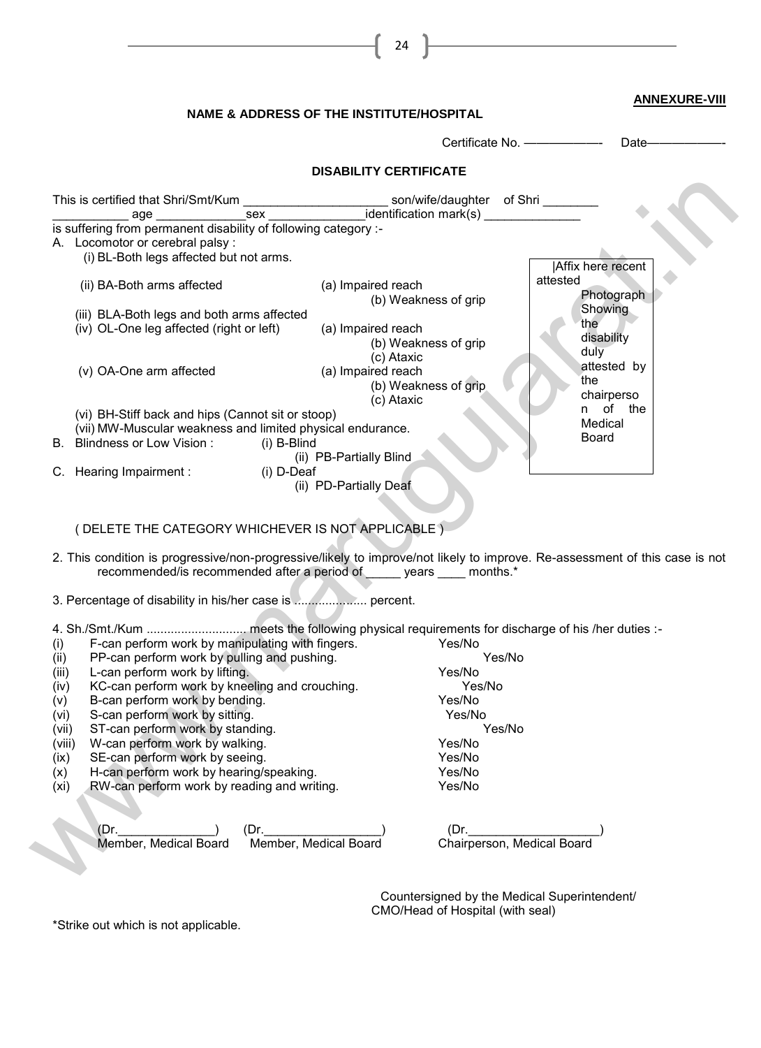|                                                                                                                                                                                                       | <b>NAME &amp; ADDRESS OF THE INSTITUTE/HOSPITAL</b>      |                  |                                              | <b>ANNEXURE-VIII</b>      |
|-------------------------------------------------------------------------------------------------------------------------------------------------------------------------------------------------------|----------------------------------------------------------|------------------|----------------------------------------------|---------------------------|
|                                                                                                                                                                                                       |                                                          |                  | Certificate No. ---------------- Date-       |                           |
|                                                                                                                                                                                                       | <b>DISABILITY CERTIFICATE</b>                            |                  |                                              |                           |
| This is certified that Shri/Smt/Kum<br>age ______________                                                                                                                                             |                                                          |                  |                                              |                           |
| is suffering from permanent disability of following category :-<br>A. Locomotor or cerebral palsy :<br>(i) BL-Both legs affected but not arms.                                                        |                                                          |                  |                                              |                           |
| (ii) BA-Both arms affected                                                                                                                                                                            | (a) Impaired reach                                       |                  | <b>Affix here recent</b><br>attested         |                           |
| (iii) BLA-Both legs and both arms affected                                                                                                                                                            | (b) Weakness of grip                                     |                  |                                              | Photograph<br>Showing     |
| (iv) OL-One leg affected (right or left)                                                                                                                                                              | (a) Impaired reach<br>(b) Weakness of grip<br>(c) Ataxic |                  | the<br>$du\overline{y}$                      | disability                |
| (v) OA-One arm affected                                                                                                                                                                               | (a) Impaired reach<br>(b) Weakness of grip<br>(c) Ataxic |                  | the                                          | attested by<br>chairperso |
| (vi) BH-Stiff back and hips (Cannot sit or stoop)<br>(vii) MW-Muscular weakness and limited physical endurance.<br>B. Blindness or Low Vision: (i) B-Blind                                            | (ii) PB-Partially Blind                                  |                  | Board                                        | n of the<br>Medical       |
| C. Hearing Impairment : (i) D-Deaf                                                                                                                                                                    | (ii) PD-Partially Deaf                                   |                  |                                              |                           |
| (DELETE THE CATEGORY WHICHEVER IS NOT APPLICABLE)                                                                                                                                                     |                                                          |                  |                                              |                           |
| 2. This condition is progressive/non-progressive/likely to improve/not likely to improve. Re-assessment of this case is not<br>recommended/is recommended after a period of _____ years ____ months.* |                                                          |                  |                                              |                           |
|                                                                                                                                                                                                       |                                                          |                  |                                              |                           |
| F-can perform work by manipulating with fingers.<br>(i)                                                                                                                                               |                                                          | Yes/No           |                                              |                           |
| PP-can perform work by pulling and pushing.<br>(ii)                                                                                                                                                   |                                                          | Yes/No           |                                              |                           |
| L-can perform work by lifting.<br>(iii)<br>KC-can perform work by kneeling and crouching.<br>(iv)                                                                                                     |                                                          | Yes/No<br>Yes/No |                                              |                           |
| B-can perform work by bending.<br>(v)                                                                                                                                                                 |                                                          | Yes/No           |                                              |                           |
| S-can perform work by sitting.<br>(vi)                                                                                                                                                                |                                                          | Yes/No           |                                              |                           |
| ST-can perform work by standing.<br>(vii)                                                                                                                                                             |                                                          | Yes/No           |                                              |                           |
| W-can perform work by walking.<br>(viii)<br>SE-can perform work by seeing.<br>(ix)                                                                                                                    |                                                          | Yes/No<br>Yes/No |                                              |                           |
| H-can perform work by hearing/speaking.<br>(x)                                                                                                                                                        |                                                          | Yes/No           |                                              |                           |
| RW-can perform work by reading and writing.<br>(x <sub>i</sub> )                                                                                                                                      |                                                          | Yes/No           |                                              |                           |
| (Dr.<br>(Dr)<br>Member, Medical Board                                                                                                                                                                 | Member, Medical Board                                    | (Dr.             | Chairperson, Medical Board                   |                           |
|                                                                                                                                                                                                       |                                                          |                  | Countersigned by the Medical Superintendent/ |                           |

CMO/Head of Hospital (with seal)

\*Strike out which is not applicable.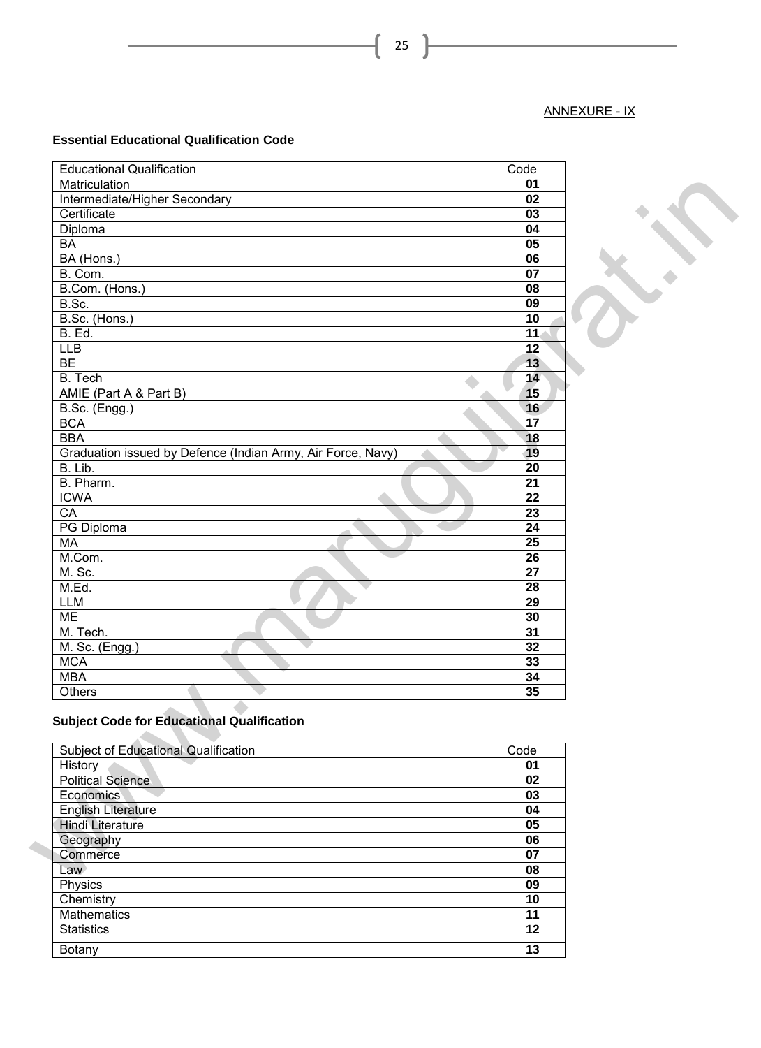# ANNEXURE - IX

# **Essential Educational Qualification Code**

| <b>Educational Qualification</b>                            | Code            |  |
|-------------------------------------------------------------|-----------------|--|
| Matriculation                                               | 01              |  |
| Intermediate/Higher Secondary                               | 02              |  |
| Certificate                                                 | 03              |  |
| Diploma                                                     | 04              |  |
| <b>BA</b>                                                   | 05              |  |
| BA (Hons.)                                                  | 06              |  |
| B. Com.                                                     | 07              |  |
| B.Com. (Hons.)                                              | 08              |  |
| B.Sc.                                                       | 09              |  |
| B.Sc. (Hons.)                                               | 10              |  |
| <b>B.</b> Ed.                                               | 11 <sub>4</sub> |  |
| <b>LLB</b>                                                  | $\overline{12}$ |  |
| BE                                                          | 13              |  |
| <b>B.</b> Tech                                              | 14              |  |
| AMIE (Part A & Part B)                                      | 15              |  |
|                                                             |                 |  |
| $\overline{\mathsf{B}.\mathsf{Sc.}}$ (Engg.)                | 16              |  |
| <b>BCA</b>                                                  | 17              |  |
| <b>BBA</b>                                                  | 18              |  |
| Graduation issued by Defence (Indian Army, Air Force, Navy) | 19              |  |
| B. Lib.                                                     | $\overline{20}$ |  |
| B. Pharm.                                                   | $\overline{21}$ |  |
| <b>ICWA</b>                                                 | 22              |  |
| $\overline{CA}$                                             | 23              |  |
| PG Diploma                                                  | 24              |  |
| MA                                                          | 25              |  |
| M.Com.                                                      | 26              |  |
| M. Sc.                                                      | 27              |  |
| M.Ed.                                                       | 28              |  |
| <b>LLM</b>                                                  | 29              |  |
| <b>ME</b>                                                   | 30              |  |
| M. Tech.                                                    | 31              |  |
| M. Sc. (Engg.)                                              | 32              |  |
| <b>MCA</b>                                                  | 33              |  |
| <b>MBA</b>                                                  | 34              |  |
| Others                                                      | 35              |  |
| <b>Subject Code for Educational Qualification</b>           |                 |  |
| <b>Subject of Educational Qualification</b>                 | Code            |  |
| History                                                     | 01              |  |
| <b>Political Science</b>                                    | 02              |  |
| Economics                                                   | 03              |  |
| English Literature                                          | 04              |  |
| <b>Hindi Literature</b>                                     | 05              |  |
| Geography                                                   | 06              |  |
| Commerce                                                    | 07              |  |
| Law                                                         | 08              |  |
| <b>Physics</b>                                              | $\overline{09}$ |  |

# **Subject Code for Educational Qualification**

| Subject of Educational Qualification | Code |
|--------------------------------------|------|
| History                              | 01   |
| <b>Political Science</b>             | 02   |
| Economics                            | 03   |
| English Literature                   | 04   |
| <b>Hindi Literature</b>              | 05   |
| Geography                            | 06   |
| Commerce                             | 07   |
| Law                                  | 08   |
| Physics                              | 09   |
| Chemistry                            | 10   |
| <b>Mathematics</b>                   | 11   |
| <b>Statistics</b>                    | 12   |
| Botany                               | 13   |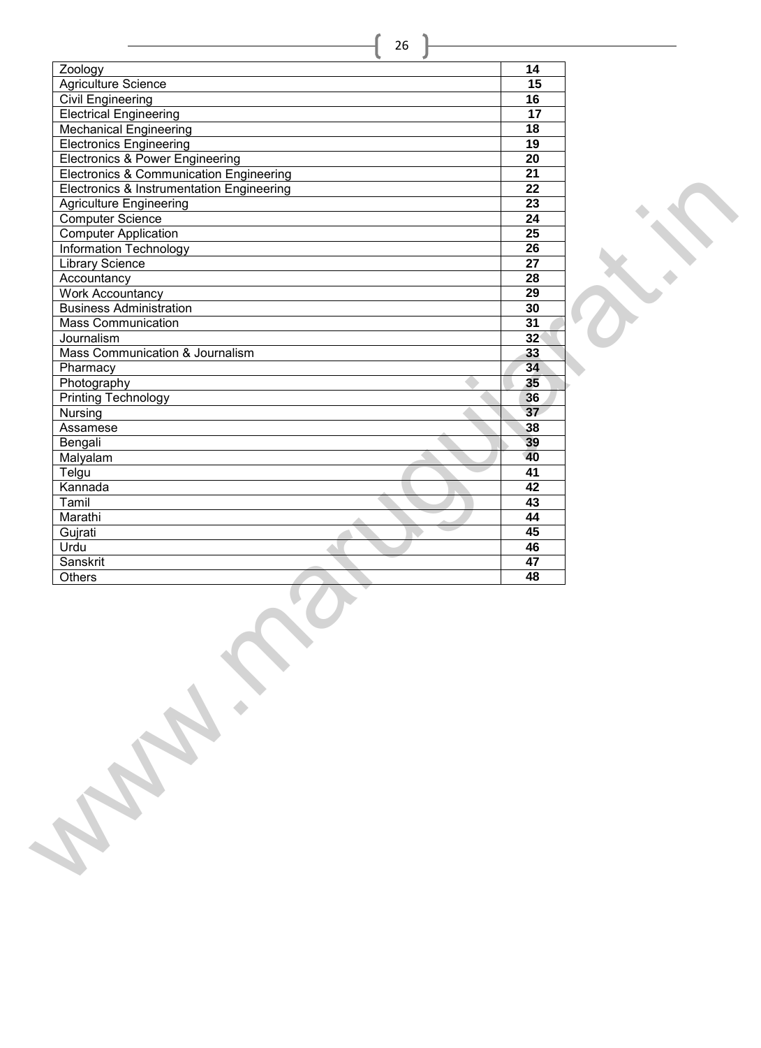| Zoology<br>Agriculture Science<br><b>Civil Engineering</b><br><b>Electrical Engineering</b><br><b>Mechanical Engineering</b> | $\overline{14}$<br>15<br>$\overline{16}$<br>$\overline{17}$ |  |
|------------------------------------------------------------------------------------------------------------------------------|-------------------------------------------------------------|--|
|                                                                                                                              |                                                             |  |
|                                                                                                                              |                                                             |  |
|                                                                                                                              |                                                             |  |
|                                                                                                                              |                                                             |  |
|                                                                                                                              | $\overline{18}$                                             |  |
| <b>Electronics Engineering</b>                                                                                               | 19                                                          |  |
| Electronics & Power Engineering                                                                                              | $\overline{20}$                                             |  |
| <b>Electronics &amp; Communication Engineering</b>                                                                           | $\overline{21}$                                             |  |
| Electronics & Instrumentation Engineering                                                                                    | $\overline{22}$                                             |  |
| <b>Agriculture Engineering</b>                                                                                               | $\overline{23}$                                             |  |
| <b>Computer Science</b>                                                                                                      | 24                                                          |  |
| <b>Computer Application</b>                                                                                                  | $\overline{25}$                                             |  |
|                                                                                                                              | $\overline{26}$                                             |  |
| Information Technology                                                                                                       |                                                             |  |
| <b>Library Science</b>                                                                                                       | $\overline{27}$                                             |  |
| Accountancy                                                                                                                  | $\overline{28}$                                             |  |
| <b>Work Accountancy</b>                                                                                                      | $\overline{29}$                                             |  |
| <b>Business Administration</b>                                                                                               | 30                                                          |  |
| <b>Mass Communication</b>                                                                                                    | $\overline{31}$                                             |  |
| Journalism                                                                                                                   | 32 <sup>°</sup>                                             |  |
| Mass Communication & Journalism                                                                                              | 33                                                          |  |
| Pharmacy                                                                                                                     | 34                                                          |  |
| Photography                                                                                                                  | 35                                                          |  |
| <b>Printing Technology</b>                                                                                                   | 36                                                          |  |
| Nursing                                                                                                                      | 37                                                          |  |
| Assamese                                                                                                                     | 38                                                          |  |
| Bengali                                                                                                                      | 39                                                          |  |
| Malyalam                                                                                                                     | 40                                                          |  |
| Telgu                                                                                                                        | 41                                                          |  |
| Kannada                                                                                                                      | $\overline{42}$                                             |  |
| Tamil                                                                                                                        | $\overline{43}$                                             |  |
| Marathi                                                                                                                      | 44                                                          |  |
| Gujrati                                                                                                                      | 45                                                          |  |
| Urdu                                                                                                                         | 46                                                          |  |
|                                                                                                                              | $\overline{47}$                                             |  |
|                                                                                                                              | 48                                                          |  |
| <b>PAIR RAY</b>                                                                                                              |                                                             |  |